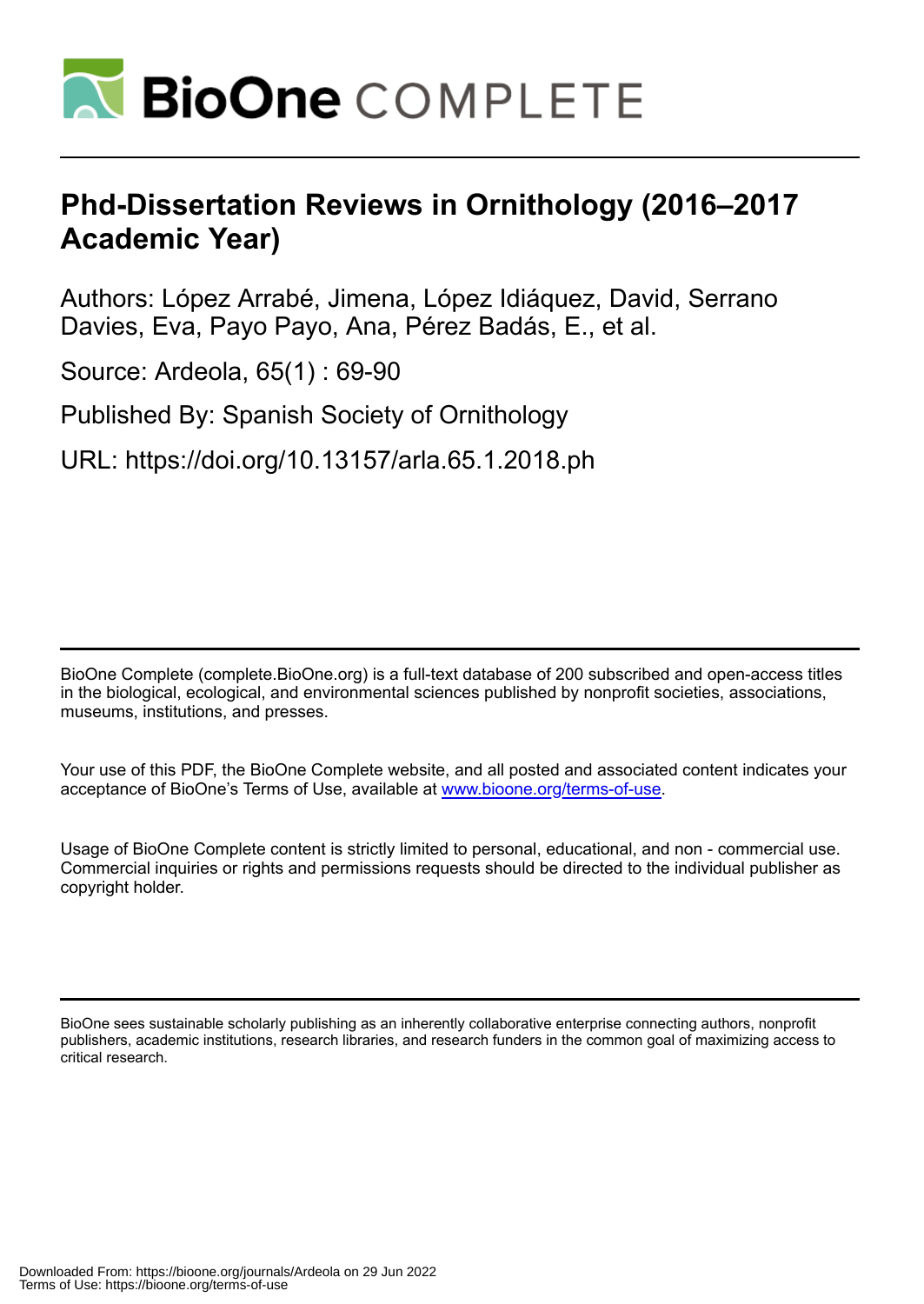

# **Phd-Dissertation Reviews in Ornithology (2016–2017 Academic Year)**

Authors: López Arrabé, Jimena, López Idiáquez, David, Serrano Davies, Eva, Payo Payo, Ana, Pérez Badás, E., et al.

Source: Ardeola, 65(1) : 69-90

Published By: Spanish Society of Ornithology

URL: https://doi.org/10.13157/arla.65.1.2018.ph

BioOne Complete (complete.BioOne.org) is a full-text database of 200 subscribed and open-access titles in the biological, ecological, and environmental sciences published by nonprofit societies, associations, museums, institutions, and presses.

Your use of this PDF, the BioOne Complete website, and all posted and associated content indicates your acceptance of BioOne's Terms of Use, available at www.bioone.org/terms-of-use.

Usage of BioOne Complete content is strictly limited to personal, educational, and non - commercial use. Commercial inquiries or rights and permissions requests should be directed to the individual publisher as copyright holder.

BioOne sees sustainable scholarly publishing as an inherently collaborative enterprise connecting authors, nonprofit publishers, academic institutions, research libraries, and research funders in the common goal of maximizing access to critical research.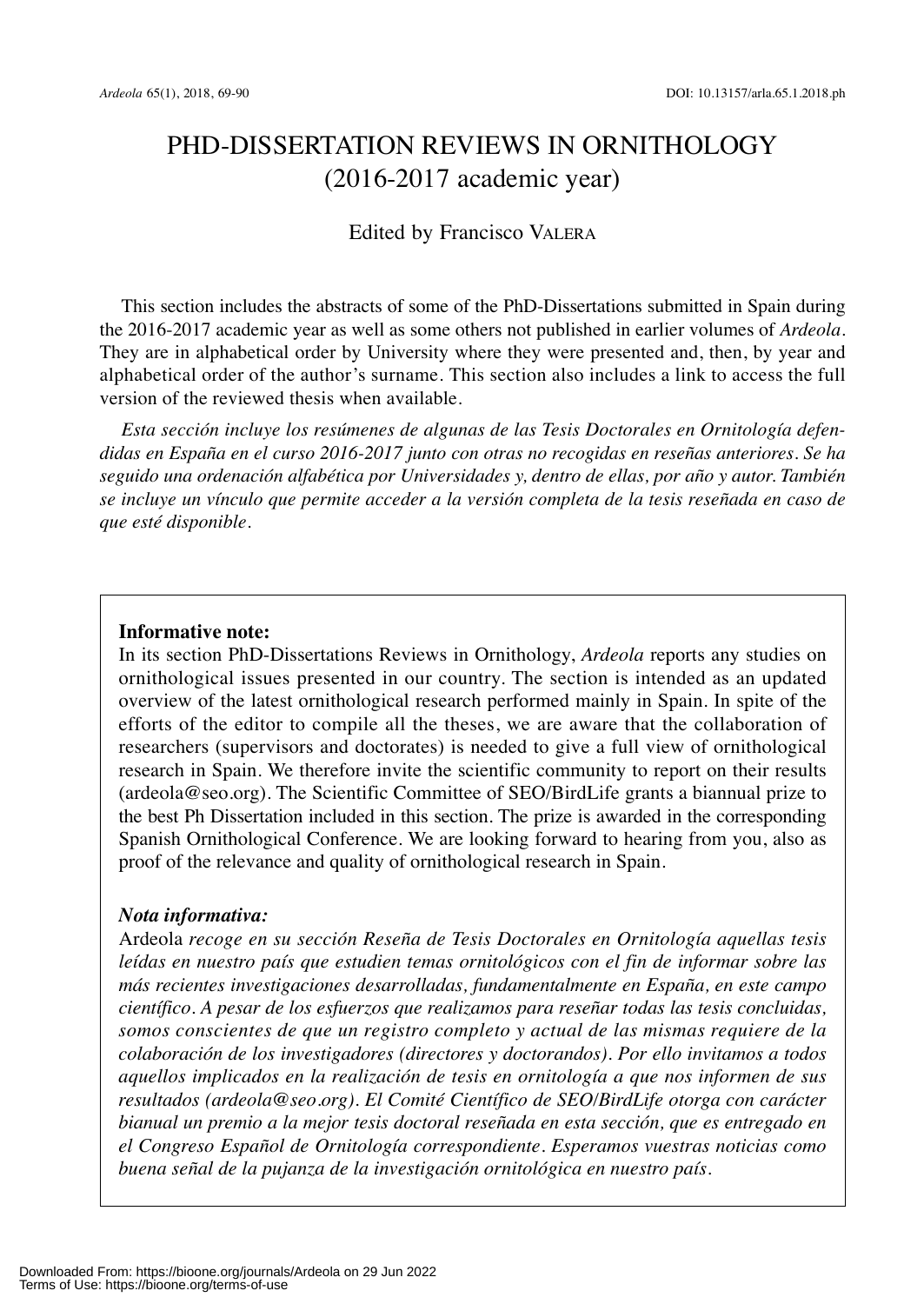# PHD-DISSERTATION REVIEWS IN ORNITHOLOGY (2016-2017 academic year)

# Edited by Francisco VALERA

This section includes the abstracts of some of the PhD-Dissertations submitted in Spain during the 2016-2017 academic year as well as some others not published in earlier volumes of *Ardeola*. They are in alphabetical order by University where they were presented and, then, by year and alphabetical order of the author's surname. This section also includes a link to access the full version of the reviewed thesis when available.

*Esta sección incluye los resúmenes de algunas de las Tesis Doctorales en Ornitología defendidas en España en el curso 2016-2017 junto con otras no recogidas en reseñas anteriores. Se ha seguido una ordenación alfabética por Universidades y, dentro de ellas, por año y autor. También se incluye un vínculo que permite acceder a la versión completa de la tesis reseñada en caso de que esté disponible.*

## **Informative note:**

In its section PhD-Dissertations Reviews in Ornithology, *Ardeola* reports any studies on ornithological issues presented in our country. The section is intended as an updated overview of the latest ornithological research performed mainly in Spain. In spite of the efforts of the editor to compile all the theses, we are aware that the collaboration of researchers (supervisors and doctorates) is needed to give a full view of ornithological research in Spain. We therefore invite the scientific community to report on their results (ardeola@seo.org). The Scientific Committee of SEO/BirdLife grants a biannual prize to the best Ph Dissertation included in this section. The prize is awarded in the corresponding Spanish Ornithological Conference. We are looking forward to hearing from you, also as proof of the relevance and quality of ornithological research in Spain.

# *Nota informativa:*

Ardeola *recoge en su sección Reseña de Tesis Doctorales en Ornitología aquellas tesis leídas en nuestro país que estudien temas ornitológicos con el fin de informar sobre las más recientes investigaciones desarrolladas, fundamentalmente en España, en este campo científico. A pesar de los esfuerzos que realizamos para reseñar todas las tesis concluidas, somos conscientes de que un registro completo y actual de las mismas requiere de la colaboración de los investigadores (directores y doctorandos). Por ello invitamos a todos aquellos implicados en la realización de tesis en ornitología a que nos informen de sus resultados (ardeola@seo.org). El Comité Científico de SEO/BirdLife otorga con carácter bianual un premio a la mejor tesis doctoral reseñada en esta sección, que es entregado en el Congreso Español de Ornitología correspondiente. Esperamos vuestras noticias como buena señal de la pujanza de la investigación ornitológica en nuestro país.*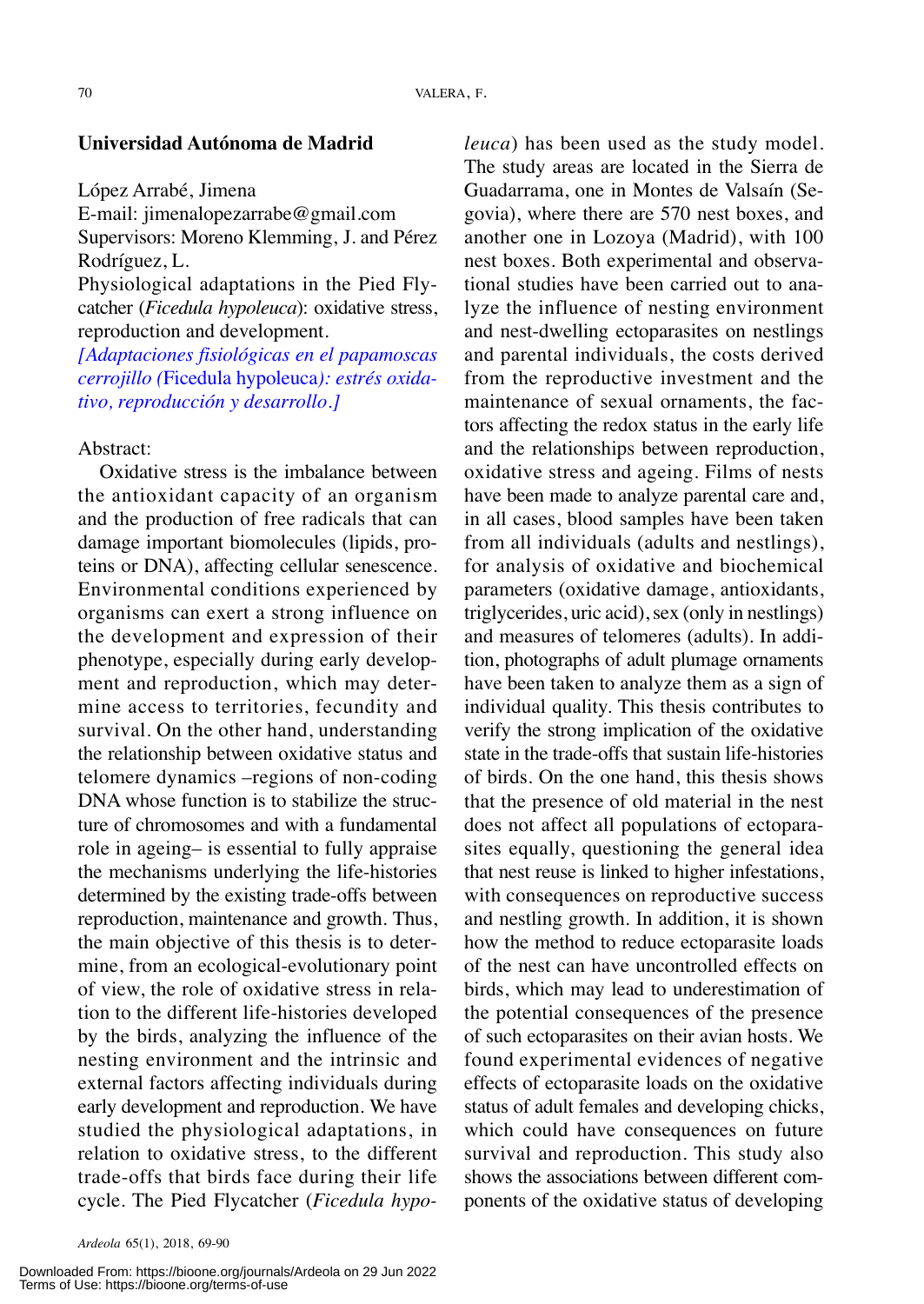#### **Universidad Autónoma de Madrid**

#### López Arrabé, Jimena

E-mail: jimenalopezarrabe@gmail.com Supervisors: Moreno Klemming, J. and Pérez Rodríguez, L.

Physiological adaptations in the Pied Flycatcher (*Ficedula hypoleuca*): oxidative stress, reproduction and development.

*[\[Adaptaciones](https://www.researchgate.net/publication/320331852_Adaptaciones_fisiologicas_en_el_Papamoscas_cerrojillo_Ficedula_hypoleuca_estres_oxidativo_reproduccion_y_desarrollo) fisiológicas en el papamoscas cerrojillo (*Ficedula [hypoleuca](https://www.researchgate.net/publication/320331852_Adaptaciones_fisiologicas_en_el_Papamoscas_cerrojillo_Ficedula_hypoleuca_estres_oxidativo_reproduccion_y_desarrollo)*): estrés oxidativo, [reproducción](https://www.researchgate.net/publication/320331852_Adaptaciones_fisiologicas_en_el_Papamoscas_cerrojillo_Ficedula_hypoleuca_estres_oxidativo_reproduccion_y_desarrollo) y desarrollo.]*

#### Abstract:

Oxidative stress is the imbalance between the antioxidant capacity of an organism and the production of free radicals that can damage important biomolecules (lipids, proteins or DNA), affecting cellular senescence. Environmental conditions experienced by organisms can exert a strong influence on the development and expression of their phenotype, especially during early development and reproduction, which may determine access to territories, fecundity and survival. On the other hand, understanding the relationship between oxidative status and telomere dynamics –regions of non-coding DNA whose function is to stabilize the structure of chromosomes and with a fundamental role in ageing– is essential to fully appraise the mechanisms underlying the life-histories determined by the existing trade-offs between reproduction, maintenance and growth. Thus, the main objective of this thesis is to determine, from an ecological-evolutionary point of view, the role of oxidative stress in relation to the different life-histories developed by the birds, analyzing the influence of the nesting environment and the intrinsic and external factors affecting individuals during early development and reproduction. We have studied the physiological adaptations, in relation to oxidative stress, to the different trade-offs that birds face during their life cycle. The Pied Flycatcher (*Ficedula hypo-*

*Ardeola* 65(1), 2018, 69-90

Downloaded From: https://bioone.org/journals/Ardeola on 29 Jun 2022 Terms of Use: https://bioone.org/terms-of-use

*leuca*) has been used as the study model. The study areas are located in the Sierra de Guadarrama, one in Montes de Valsaín (Segovia), where there are 570 nest boxes, and another one in Lozoya (Madrid), with 100 nest boxes. Both experimental and observational studies have been carried out to analyze the influence of nesting environment and nest-dwelling ectoparasites on nestlings and parental individuals, the costs derived from the reproductive investment and the maintenance of sexual ornaments, the factors affecting the redox status in the early life and the relationships between reproduction, oxidative stress and ageing. Films of nests have been made to analyze parental care and, in all cases, blood samples have been taken from all individuals (adults and nestlings), for analysis of oxidative and biochemical parameters (oxidative damage, antioxidants, triglycerides, uric acid), sex (only in nestlings) and measures of telomeres (adults). In addition, photographs of adult plumage ornaments have been taken to analyze them as a sign of individual quality. This thesis contributes to verify the strong implication of the oxidative state in the trade-offs that sustain life-histories of birds. On the one hand, this thesis shows that the presence of old material in the nest does not affect all populations of ectoparasites equally, questioning the general idea that nest reuse is linked to higher infestations, with consequences on reproductive success and nestling growth. In addition, it is shown how the method to reduce ectoparasite loads of the nest can have uncontrolled effects on birds, which may lead to underestimation of the potential consequences of the presence of such ectoparasites on their avian hosts. We found experimental evidences of negative effects of ectoparasite loads on the oxidative status of adult females and developing chicks, which could have consequences on future survival and reproduction. This study also shows the associations between different components of the oxidative status of developing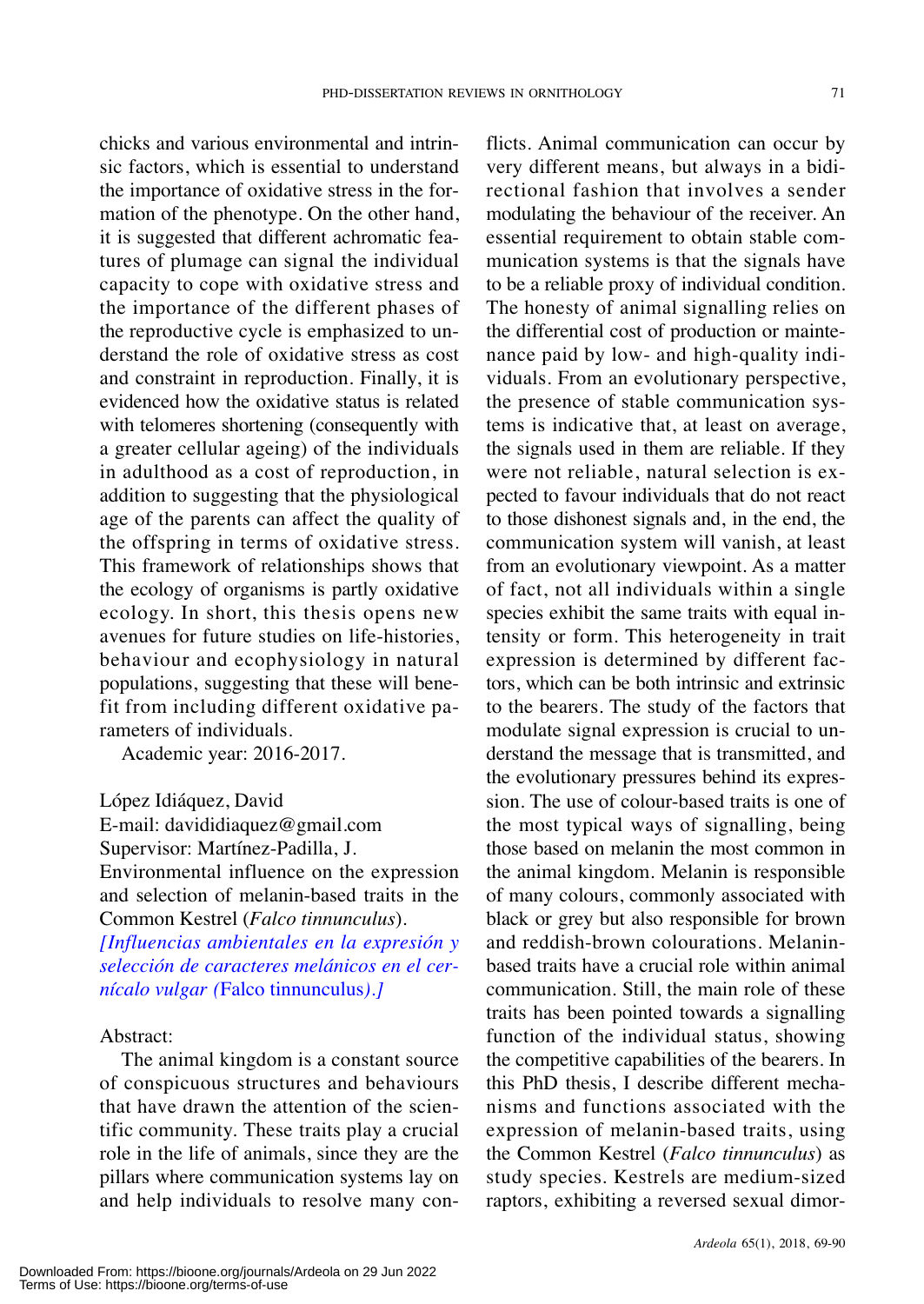chicks and various environmental and intrinsic factors, which is essential to understand the importance of oxidative stress in the formation of the phenotype. On the other hand, it is suggested that different achromatic features of plumage can signal the individual capacity to cope with oxidative stress and the importance of the different phases of the reproductive cycle is emphasized to understand the role of oxidative stress as cost and constraint in reproduction. Finally, it is evidenced how the oxidative status is related with telomeres shortening (consequently with a greater cellular ageing) of the individuals in adulthood as a cost of reproduction, in addition to suggesting that the physiological age of the parents can affect the quality of the offspring in terms of oxidative stress. This framework of relationships shows that the ecology of organisms is partly oxidative ecology. In short, this thesis opens new avenues for future studies on life-histories, behaviour and ecophysiology in natural populations, suggesting that these will benefit from including different oxidative parameters of individuals. Academic year: 2016-2017.

# López Idiáquez, David

E-mail: davididiaquez@gmail.com Supervisor: Martínez-Padilla, J. Environmental influence on the expression and selection of melanin-based traits in the Common Kestrel (*Falco tinnunculus*).

*[\[Influencias](https://www.researchgate.net/publication/319702412_Influencias_ambientales_en_la_expresion_y_seleccion_de_caracteres_melanicos_en_el_cernicalo_vulgar_Falco_tinnunculus) ambientales en la expresión y selección de [caracteres](https://www.researchgate.net/publication/319702412_Influencias_ambientales_en_la_expresion_y_seleccion_de_caracteres_melanicos_en_el_cernicalo_vulgar_Falco_tinnunculus) melánicos en el cernícalo vulgar (*Falco [tinnunculus](https://www.researchgate.net/publication/319702412_Influencias_ambientales_en_la_expresion_y_seleccion_de_caracteres_melanicos_en_el_cernicalo_vulgar_Falco_tinnunculus)*).]*

# Abstract:

The animal kingdom is a constant source of conspicuous structures and behaviours that have drawn the attention of the scien-

flicts. Animal communication can occur by very different means, but always in a bidirectional fashion that involves a sender modulating the behaviour of the receiver. An essential requirement to obtain stable communication systems is that the signals have to be a reliable proxy of individual condition. The honesty of animal signalling relies on the differential cost of production or maintenance paid by low- and high-quality individuals. From an evolutionary perspective, the presence of stable communication systems is indicative that, at least on average, the signals used in them are reliable. If they were not reliable, natural selection is expected to favour individuals that do not react to those dishonest signals and, in the end, the communication system will vanish, at least from an evolutionary viewpoint. As a matter of fact, not all individuals within a single species exhibit the same traits with equal intensity or form. This heterogeneity in trait expression is determined by different factors, which can be both intrinsic and extrinsic to the bearers. The study of the factors that modulate signal expression is crucial to understand the message that is transmitted, and the evolutionary pressures behind its expression. The use of colour-based traits is one of the most typical ways of signalling, being those based on melanin the most common in the animal kingdom. Melanin is responsible of many colours, commonly associated with black or grey but also responsible for brown and reddish-brown colourations. Melaninbased traits have a crucial role within animal communication. Still, the main role of these traits has been pointed towards a signalling function of the individual status, showing the competitive capabilities of the bearers. In this PhD thesis, I describe different mechanisms and functions associated with the expression of melanin-based traits, using the Common Kestrel (*Falco tinnunculus*) as study species. Kestrels are medium-sized raptors, exhibiting a reversed sexual dimor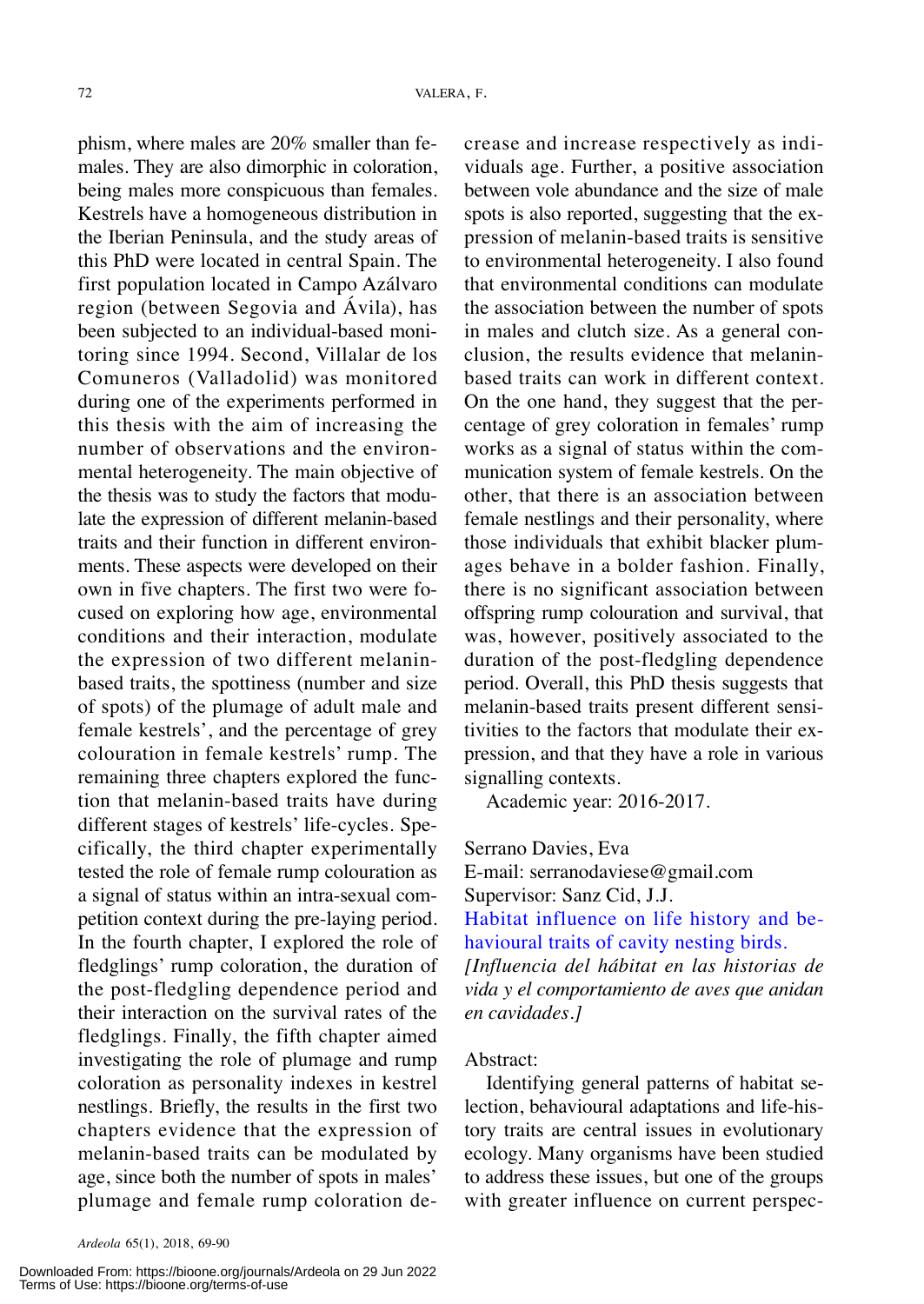phism, where males are 20% smaller than females. They are also dimorphic in coloration, being males more conspicuous than females. Kestrels have a homogeneous distribution in the Iberian Peninsula, and the study areas of this PhD were located in central Spain. The first population located in Campo Azálvaro region (between Segovia and Ávila), has been subjected to an individual-based monitoring since 1994. Second, Villalar de los Comuneros (Valladolid) was monitored during one of the experiments performed in this thesis with the aim of increasing the number of observations and the environmental heterogeneity. The main objective of the thesis was to study the factors that modulate the expression of different melanin-based traits and their function in different environments. These aspects were developed on their own in five chapters. The first two were focused on exploring how age, environmental conditions and their interaction, modulate the expression of two different melaninbased traits, the spottiness (number and size of spots) of the plumage of adult male and female kestrels', and the percentage of grey colouration in female kestrels' rump. The remaining three chapters explored the function that melanin-based traits have during different stages of kestrels' life-cycles. Specifically, the third chapter experimentally tested the role of female rump colouration as a signal of status within an intra-sexual competition context during the pre-laying period. In the fourth chapter, I explored the role of fledglings' rump coloration, the duration of the post-fledgling dependence period and their interaction on the survival rates of the fledglings. Finally, the fifth chapter aimed investigating the role of plumage and rump coloration as personality indexes in kestrel nestlings. Briefly, the results in the first two chapters evidence that the expression of melanin-based traits can be modulated by age, since both the number of spots in males' plumage and female rump coloration de-

*Ardeola* 65(1), 2018, 69-90

Downloaded From: https://bioone.org/journals/Ardeola on 29 Jun 2022 Terms of Use: https://bioone.org/terms-of-use

crease and increase respectively as individuals age. Further, a positive association between vole abundance and the size of male spots is also reported, suggesting that the expression of melanin-based traits is sensitive to environmental heterogeneity. I also found that environmental conditions can modulate the association between the number of spots in males and clutch size. As a general conclusion, the results evidence that melaninbased traits can work in different context. On the one hand, they suggest that the percentage of grey coloration in females' rump works as a signal of status within the communication system of female kestrels. On the other, that there is an association between female nestlings and their personality, where those individuals that exhibit blacker plumages behave in a bolder fashion. Finally, there is no significant association between offspring rump colouration and survival, that was, however, positively associated to the duration of the post-fledgling dependence period. Overall, this PhD thesis suggests that melanin-based traits present different sensitivities to the factors that modulate their expression, and that they have a role in various signalling contexts.

Academic year: 2016-2017.

Serrano Davies, Eva

E-mail: serranodaviese@gmail.com Supervisor: Sanz Cid, J.J.

Habitat [influence](https://repositorio.uam.es/handle/10486/677137) on life history and be[havioural](https://repositorio.uam.es/handle/10486/677137) traits of cavity nesting birds. *[Influencia del hábitat en las historias de vida y el comportamiento de aves que anidan en cavidades.]*

### Abstract:

Identifying general patterns of habitat selection, behavioural adaptations and life-history traits are central issues in evolutionary ecology. Many organisms have been studied to address these issues, but one of the groups with greater influence on current perspec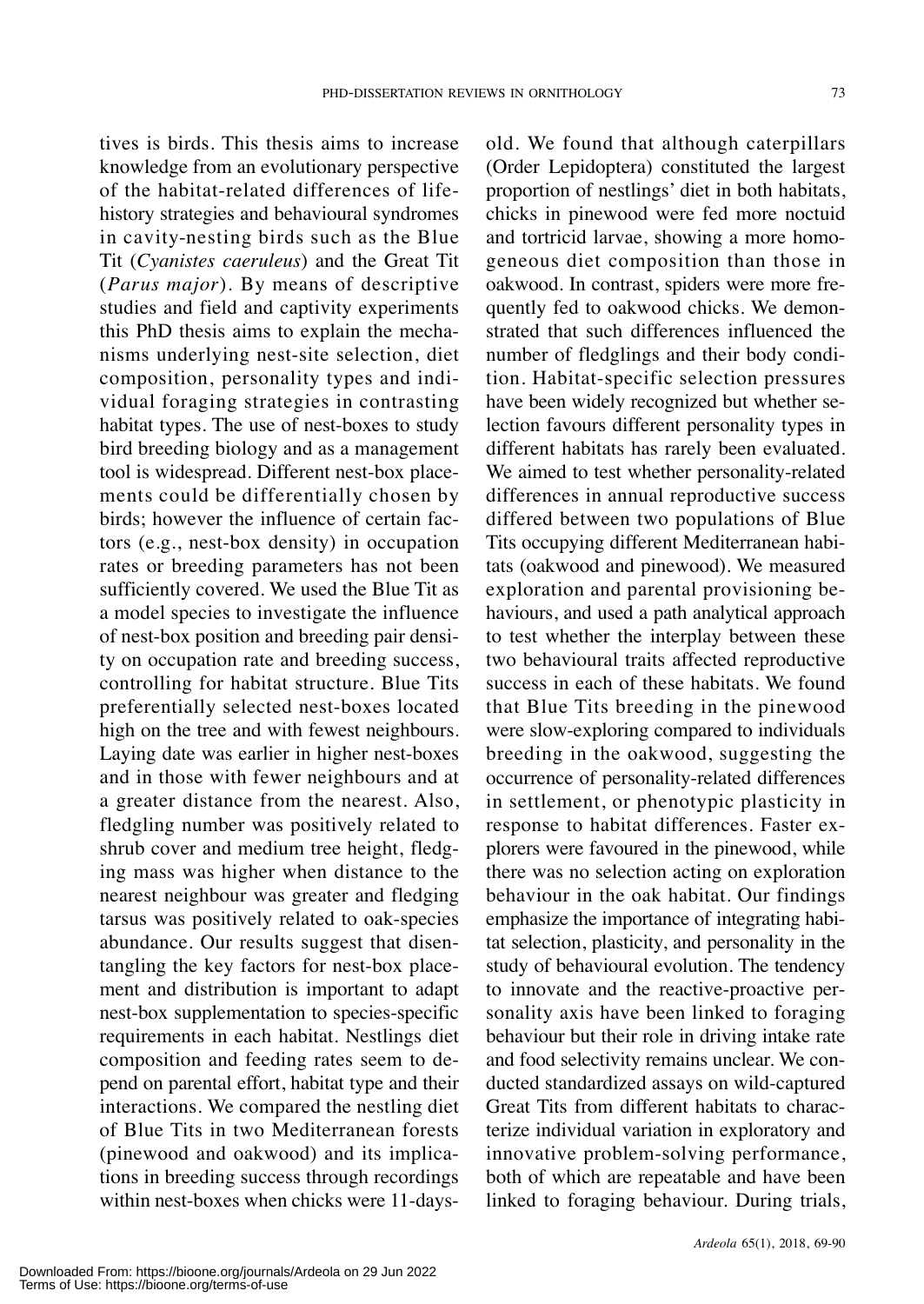knowledge from an evolutionary perspective of the habitat-related differences of lifehistory strategies and behavioural syndromes in cavity-nesting birds such as the Blue Tit (*Cyanistes caeruleus*) and the Great Tit (*Parus major*). By means of descriptive studies and field and captivity experiments this PhD thesis aims to explain the mechanisms underlying nest-site selection, diet composition, personality types and individual foraging strategies in contrasting habitat types. The use of nest-boxes to study bird breeding biology and as a management tool is widespread. Different nest-box placements could be differentially chosen by birds; however the influence of certain factors (e.g., nest-box density) in occupation rates or breeding parameters has not been sufficiently covered. We used the Blue Tit as a model species to investigate the influence of nest-box position and breeding pair density on occupation rate and breeding success, controlling for habitat structure. Blue Tits preferentially selected nest-boxes located high on the tree and with fewest neighbours. Laying date was earlier in higher nest-boxes and in those with fewer neighbours and at a greater distance from the nearest. Also, fledgling number was positively related to shrub cover and medium tree height, fledging mass was higher when distance to the nearest neighbour was greater and fledging tarsus was positively related to oak-species abundance. Our results suggest that disentangling the key factors for nest-box placement and distribution is important to adapt nest-box supplementation to species-specific requirements in each habitat. Nestlings diet composition and feeding rates seem to depend on parental effort, habitat type and their interactions. We compared the nestling diet of Blue Tits in two Mediterranean forests (pinewood and oakwood) and its implications in breeding success through recordings within nest-boxes when chicks were 11-days-

tives is birds. This thesis aims to increase

old. We found that although caterpillars (Order Lepidoptera) constituted the largest proportion of nestlings' diet in both habitats, chicks in pinewood were fed more noctuid and tortricid larvae, showing a more homogeneous diet composition than those in oakwood. In contrast, spiders were more frequently fed to oakwood chicks. We demonstrated that such differences influenced the number of fledglings and their body condition. Habitat-specific selection pressures have been widely recognized but whether selection favours different personality types in different habitats has rarely been evaluated. We aimed to test whether personality-related differences in annual reproductive success differed between two populations of Blue Tits occupying different Mediterranean habitats (oakwood and pinewood). We measured exploration and parental provisioning behaviours, and used a path analytical approach to test whether the interplay between these two behavioural traits affected reproductive success in each of these habitats. We found that Blue Tits breeding in the pinewood were slow-exploring compared to individuals breeding in the oakwood, suggesting the occurrence of personality-related differences in settlement, or phenotypic plasticity in response to habitat differences. Faster explorers were favoured in the pinewood, while there was no selection acting on exploration behaviour in the oak habitat. Our findings emphasize the importance of integrating habitat selection, plasticity, and personality in the study of behavioural evolution. The tendency to innovate and the reactive-proactive personality axis have been linked to foraging behaviour but their role in driving intake rate and food selectivity remains unclear. We conducted standardized assays on wild-captured Great Tits from different habitats to characterize individual variation in exploratory and innovative problem-solving performance, both of which are repeatable and have been linked to foraging behaviour. During trials,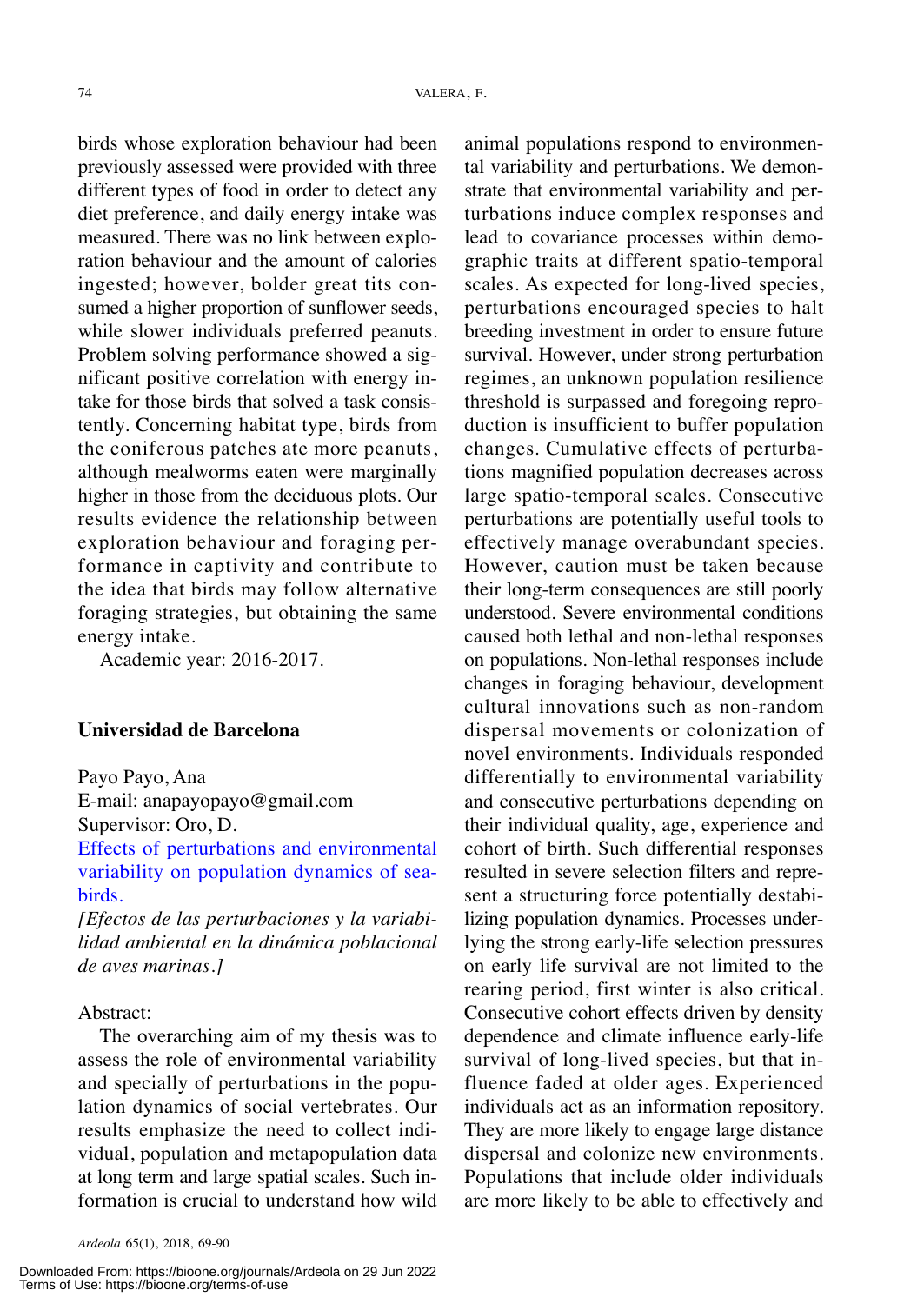birds whose exploration behaviour had been previously assessed were provided with three different types of food in order to detect any diet preference, and daily energy intake was measured. There was no link between exploration behaviour and the amount of calories ingested; however, bolder great tits consumed a higher proportion of sunflower seeds, while slower individuals preferred peanuts. Problem solving performance showed a significant positive correlation with energy intake for those birds that solved a task consistently. Concerning habitat type, birds from the coniferous patches ate more peanuts, although mealworms eaten were marginally higher in those from the deciduous plots. Our results evidence the relationship between exploration behaviour and foraging performance in captivity and contribute to the idea that birds may follow alternative foraging strategies, but obtaining the same energy intake.

Academic year: 2016-2017.

#### **Universidad de Barcelona**

Payo Payo, Ana

E-mail: anapayopayo@gmail.com Supervisor: Oro, D.

Effects of perturbations and [environmental](http://diposit.ub.edu/dspace/handle/2445/114143) variability on [population](http://diposit.ub.edu/dspace/handle/2445/114143) dynamics of sea[birds.](http://diposit.ub.edu/dspace/handle/2445/114143)

*[Efectos de las perturbaciones y la variabilidad ambiental en la dinámica poblacional de aves marinas.]*

#### Abstract:

The overarching aim of my thesis was to assess the role of environmental variability and specially of perturbations in the population dynamics of social vertebrates. Our results emphasize the need to collect individual, population and metapopulation data at long term and large spatial scales. Such information is crucial to understand how wild

*Ardeola* 65(1), 2018, 69-90

animal populations respond to environmental variability and perturbations. We demonstrate that environmental variability and perturbations induce complex responses and lead to covariance processes within demographic traits at different spatio-temporal scales. As expected for long-lived species, perturbations encouraged species to halt breeding investment in order to ensure future survival. However, under strong perturbation regimes, an unknown population resilience threshold is surpassed and foregoing reproduction is insufficient to buffer population changes. Cumulative effects of perturbations magnified population decreases across large spatio-temporal scales. Consecutive perturbations are potentially useful tools to effectively manage overabundant species. However, caution must be taken because their long-term consequences are still poorly understood. Severe environmental conditions caused both lethal and non-lethal responses on populations. Non-lethal responses include changes in foraging behaviour, development cultural innovations such as non-random dispersal movements or colonization of novel environments. Individuals responded differentially to environmental variability and consecutive perturbations depending on their individual quality, age, experience and cohort of birth. Such differential responses resulted in severe selection filters and represent a structuring force potentially destabilizing population dynamics. Processes underlying the strong early-life selection pressures on early life survival are not limited to the rearing period, first winter is also critical. Consecutive cohort effects driven by density dependence and climate influence early-life survival of long-lived species, but that influence faded at older ages. Experienced individuals act as an information repository. They are more likely to engage large distance dispersal and colonize new environments. Populations that include older individuals are more likely to be able to effectively and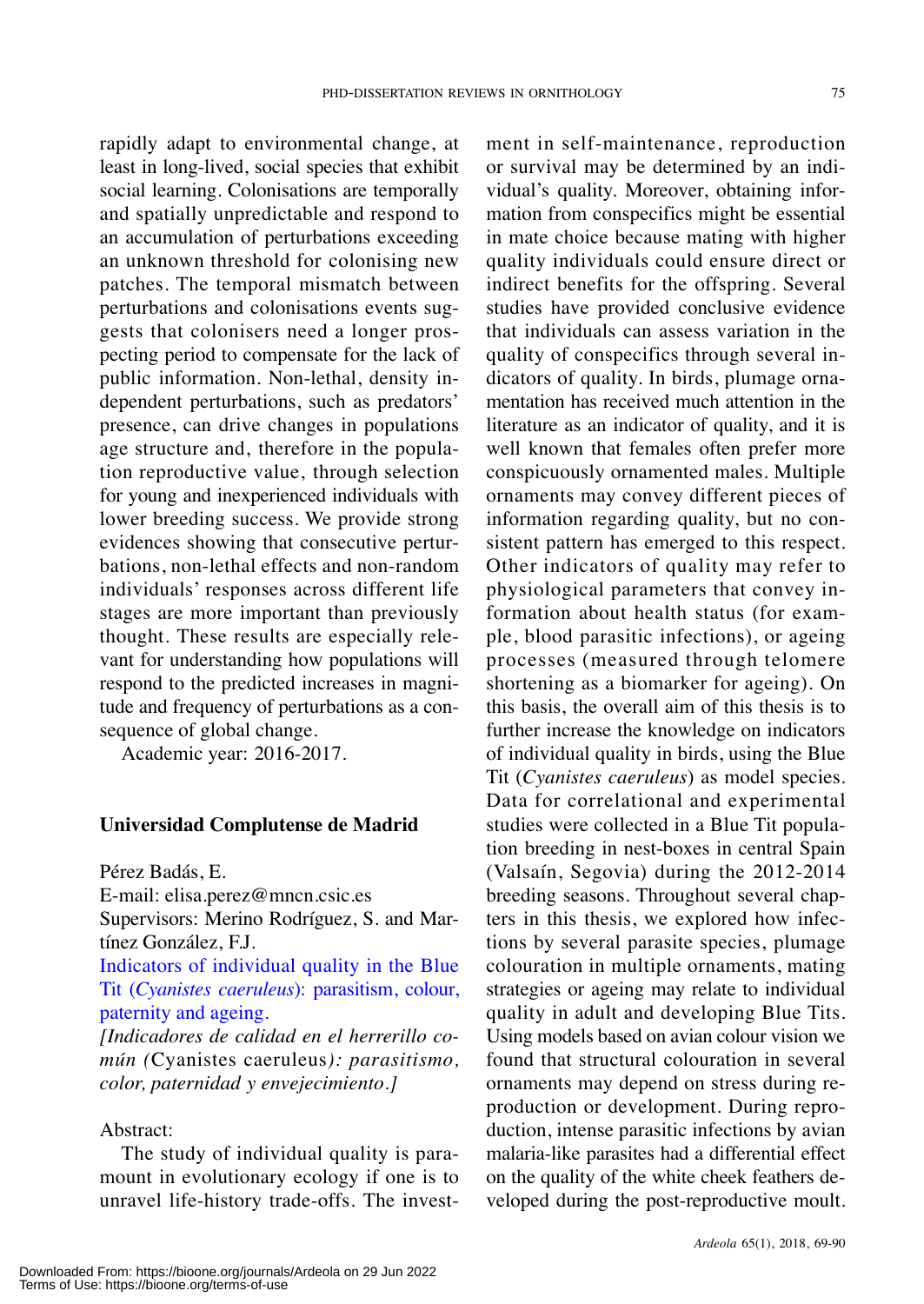ment in self-maintenance, reproduction or survival may be determined by an individual's quality. Moreover, obtaining information from conspecifics might be essential in mate choice because mating with higher quality individuals could ensure direct or indirect benefits for the offspring. Several studies have provided conclusive evidence that individuals can assess variation in the quality of conspecifics through several indicators of quality. In birds, plumage ornamentation has received much attention in the literature as an indicator of quality, and it is well known that females often prefer more conspicuously ornamented males. Multiple ornaments may convey different pieces of information regarding quality, but no consistent pattern has emerged to this respect. Other indicators of quality may refer to physiological parameters that convey information about health status (for example, blood parasitic infections), or ageing processes (measured through telomere shortening as a biomarker for ageing). On this basis, the overall aim of this thesis is to further increase the knowledge on indicators of individual quality in birds, using the Blue Tit (*Cyanistes caeruleus*) as model species. Data for correlational and experimental studies were collected in a Blue Tit population breeding in nest-boxes in central Spain (Valsaín, Segovia) during the 2012-2014 breeding seasons. Throughout several chapters in this thesis, we explored how infections by several parasite species, plumage colouration in multiple ornaments, mating strategies or ageing may relate to individual quality in adult and developing Blue Tits. Using models based on avian colour vision we found that structural colouration in several ornaments may depend on stress during reproduction or development. During reproduction, intense parasitic infections by avian malaria-like parasites had a differential effect on the quality of the white cheek feathers developed during the post-reproductive moult.

rapidly adapt to environmental change, at least in long-lived, social species that exhibit social learning. Colonisations are temporally and spatially unpredictable and respond to an accumulation of perturbations exceeding an unknown threshold for colonising new patches. The temporal mismatch between perturbations and colonisations events suggests that colonisers need a longer prospecting period to compensate for the lack of public information. Non-lethal, density independent perturbations, such as predators' presence, can drive changes in populations age structure and, therefore in the population reproductive value, through selection for young and inexperienced individuals with lower breeding success. We provide strong evidences showing that consecutive perturbations, non-lethal effects and non-random individuals' responses across different life stages are more important than previously thought. These results are especially relevant for understanding how populations will respond to the predicted increases in magnitude and frequency of perturbations as a consequence of global change.

Academic year: 2016-2017.

#### **Universidad Complutense de Madrid**

Pérez Badás, E.

E-mail: elisa.perez@mncn.csic.es

Supervisors: Merino Rodríguez, S. and Martínez González, F.J.

Indicators of [individual](https://www.researchgate.net/publication/317617252_INDICATORS_OF_INDIVIDUAL_QUALITY_IN_THE_BLUE_TIT_Cyanistes_caeruleus_PARASITISM_COLOUR_PATERNITY_AND_AGEING) quality in the Blue Tit (*Cyanistes caeruleus*): [parasitism,](https://www.researchgate.net/publication/317617252_INDICATORS_OF_INDIVIDUAL_QUALITY_IN_THE_BLUE_TIT_Cyanistes_caeruleus_PARASITISM_COLOUR_PATERNITY_AND_AGEING) colour, [paternity](https://www.researchgate.net/publication/317617252_INDICATORS_OF_INDIVIDUAL_QUALITY_IN_THE_BLUE_TIT_Cyanistes_caeruleus_PARASITISM_COLOUR_PATERNITY_AND_AGEING) and ageing.

*[Indicadores de calidad en el herrerillo común (*Cyanistes caeruleus*): parasitismo, color, paternidad y envejecimiento.]*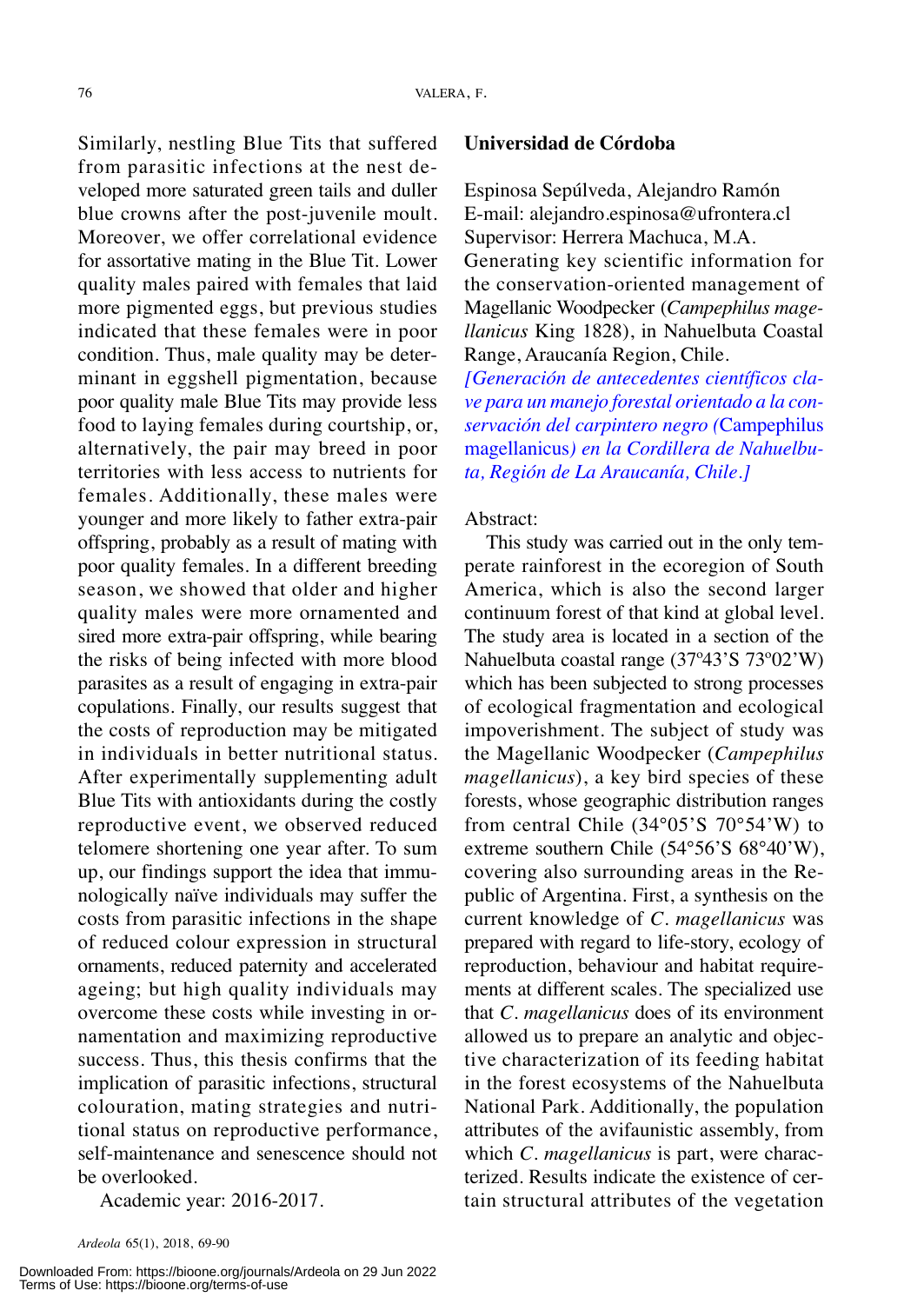Similarly, nestling Blue Tits that suffered from parasitic infections at the nest developed more saturated green tails and duller blue crowns after the post-juvenile moult. Moreover, we offer correlational evidence for assortative mating in the Blue Tit. Lower quality males paired with females that laid more pigmented eggs, but previous studies indicated that these females were in poor condition. Thus, male quality may be determinant in eggshell pigmentation, because poor quality male Blue Tits may provide less food to laying females during courtship, or, alternatively, the pair may breed in poor territories with less access to nutrients for females. Additionally, these males were younger and more likely to father extra-pair offspring, probably as a result of mating with poor quality females. In a different breeding season, we showed that older and higher quality males were more ornamented and sired more extra-pair offspring, while bearing the risks of being infected with more blood parasites as a result of engaging in extra-pair copulations. Finally, our results suggest that the costs of reproduction may be mitigated in individuals in better nutritional status. After experimentally supplementing adult Blue Tits with antioxidants during the costly reproductive event, we observed reduced telomere shortening one year after. To sum up, our findings support the idea that immunologically naïve individuals may suffer the costs from parasitic infections in the shape of reduced colour expression in structural ornaments, reduced paternity and accelerated ageing; but high quality individuals may overcome these costs while investing in ornamentation and maximizing reproductive success. Thus, this thesis confirms that the implication of parasitic infections, structural colouration, mating strategies and nutritional status on reproductive performance, self-maintenance and senescence should not be overlooked.

Academic year: 2016-2017.

Espinosa Sepúlveda, Alejandro Ramón E-mail: alejandro.espinosa@ufrontera.cl Supervisor: Herrera Machuca, M.A. Generating key scientific information for the conservation-oriented management of Magellanic Woodpecker (*Campephilus magellanicus* King 1828), in Nahuelbuta Coastal Range, Araucanía Region, Chile.

*[Generación de [antecedentes](http://helvia.uco.es/xmlui/bitstream/handle/10396/14799/2017000001582.pdf?sequence=1) científicos clave para un manejo forestal [orientado](http://helvia.uco.es/xmlui/bitstream/handle/10396/14799/2017000001582.pdf?sequence=1) a la conservación del carpintero negro (*[Campephilus](http://helvia.uco.es/xmlui/bitstream/handle/10396/14799/2017000001582.pdf?sequence=1) [magellanicus](http://helvia.uco.es/xmlui/bitstream/handle/10396/14799/2017000001582.pdf?sequence=1)*) en la Cordillera de Nahuelbuta, Región de La [Araucanía,](http://helvia.uco.es/xmlui/bitstream/handle/10396/14799/2017000001582.pdf?sequence=1) Chile.]*

## Abstract:

This study was carried out in the only temperate rainforest in the ecoregion of South America, which is also the second larger continuum forest of that kind at global level. The study area is located in a section of the Nahuelbuta coastal range (37º43'S 73º02'W) which has been subjected to strong processes of ecological fragmentation and ecological impoverishment. The subject of study was the Magellanic Woodpecker (*Campephilus magellanicus*), a key bird species of these forests, whose geographic distribution ranges from central Chile  $(34^{\circ}05^{\circ}S)$  70°54'W) to extreme southern Chile (54°56'S 68°40'W), covering also surrounding areas in the Republic of Argentina. First, a synthesis on the current knowledge of *C. magellanicus* was prepared with regard to life-story, ecology of reproduction, behaviour and habitat requirements at different scales. The specialized use that *C. magellanicus* does of its environment allowed us to prepare an analytic and objective characterization of its feeding habitat in the forest ecosystems of the Nahuelbuta National Park. Additionally, the population attributes of the avifaunistic assembly, from which *C. magellanicus* is part, were characterized. Results indicate the existence of certain structural attributes of the vegetation

**Universidad de Córdoba**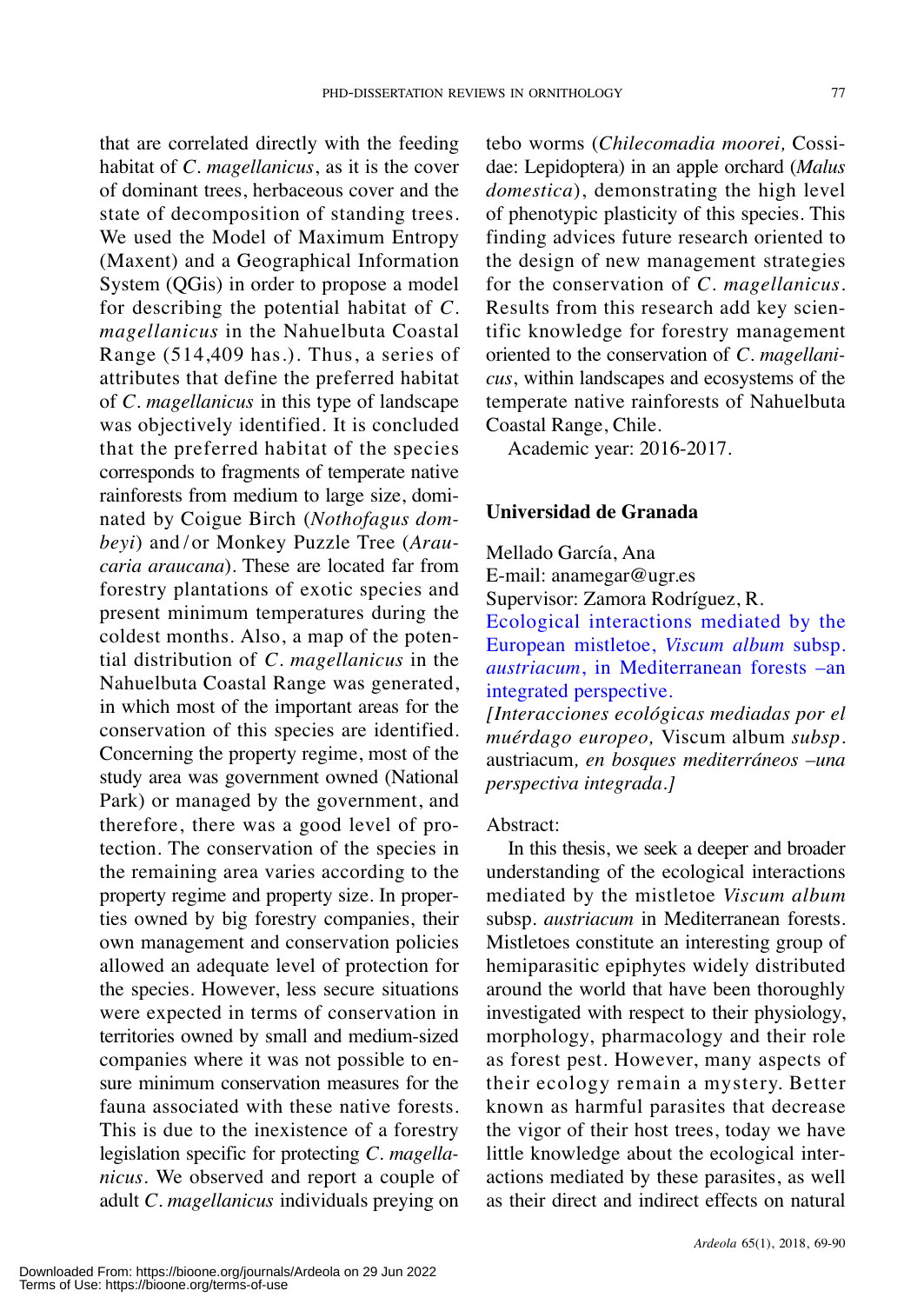Terms of Use: https://bioone.org/terms-of-use

PHD-DISSERTATION REVIEWS IN ORNITHOLOGY **77** 

that are correlated directly with the feeding habitat of *C. magellanicus*, as it is the cover of dominant trees, herbaceous cover and the state of decomposition of standing trees. We used the Model of Maximum Entropy (Maxent) and a Geographical Information System (QGis) in order to propose a model for describing the potential habitat of *C. magellanicus* in the Nahuelbuta Coastal Range (514,409 has.). Thus, a series of attributes that define the preferred habitat of *C. magellanicus* in this type of landscape was objectively identified. It is concluded that the preferred habitat of the species corresponds to fragments of temperate native rainforests from medium to large size, dominated by Coigue Birch (*Nothofagus dombeyi*) and / or Monkey Puzzle Tree (*Araucaria araucana*). These are located far from forestry plantations of exotic species and present minimum temperatures during the coldest months. Also, a map of the potential distribution of *C. magellanicus* in the Nahuelbuta Coastal Range was generated, in which most of the important areas for the conservation of this species are identified. Concerning the property regime, most of the study area was government owned (National Park) or managed by the government, and therefore, there was a good level of protection. The conservation of the species in the remaining area varies according to the property regime and property size. In properties owned by big forestry companies, their own management and conservation policies allowed an adequate level of protection for the species. However, less secure situations were expected in terms of conservation in territories owned by small and medium-sized companies where it was not possible to ensure minimum conservation measures for the fauna associated with these native forests. This is due to the inexistence of a forestry

tebo worms (*Chilecomadia moorei,* Cossidae: Lepidoptera) in an apple orchard (*Malus domestica*), demonstrating the high level of phenotypic plasticity of this species. This finding advices future research oriented to the design of new management strategies for the conservation of *C. magellanicus*. Results from this research add key scientific knowledge for forestry management oriented to the conservation of *C. magellanicus*, within landscapes and ecosystems of the temperate native rainforests of Nahuelbuta Coastal Range, Chile.

Academic year: 2016-2017.

# **Universidad de Granada**

# Mellado García, Ana

E-mail: anamegar@ugr.es

Supervisor: Zamora Rodríguez, R.

Ecological [interactions](https://www.researchgate.net/profile/Ana_Mellado2/publications?pubType=thesis) mediated by the European [mistletoe,](https://www.researchgate.net/profile/Ana_Mellado2/publications?pubType=thesis) *Viscum album* subsp. *austriacum*, in [Mediterranean](https://www.researchgate.net/profile/Ana_Mellado2/publications?pubType=thesis) forests –an integrated [perspective.](https://www.researchgate.net/profile/Ana_Mellado2/publications?pubType=thesis)

*[Interacciones ecológicas mediadas por el muérdago europeo,* Viscum album *subsp.* austriacum*, en bosques mediterráneos –una perspectiva integrada.]*

# Abstract:

In this thesis, we seek a deeper and broader understanding of the ecological interactions mediated by the mistletoe *Viscum album* subsp. *austriacum* in Mediterranean forests. Mistletoes constitute an interesting group of hemiparasitic epiphytes widely distributed around the world that have been thoroughly investigated with respect to their physiology, morphology, pharmacology and their role as forest pest. However, many aspects of their ecology remain a mystery. Better known as harmful parasites that decrease the vigor of their host trees, today we have little knowledge about the ecological interactions mediated by these parasites, as well as their direct and indirect effects on natural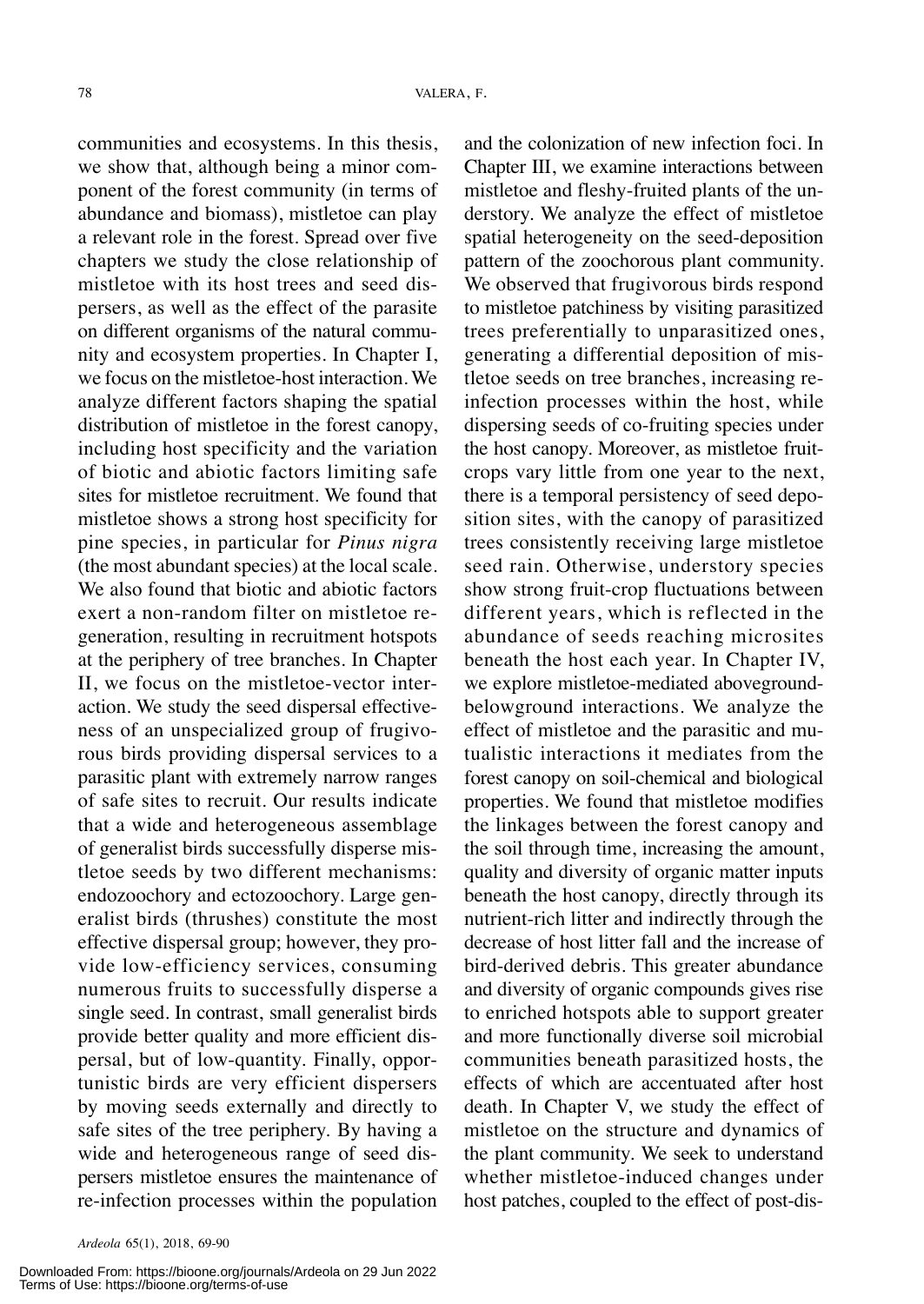communities and ecosystems. In this thesis, we show that, although being a minor component of the forest community (in terms of abundance and biomass), mistletoe can play a relevant role in the forest. Spread over five chapters we study the close relationship of mistletoe with its host trees and seed dispersers, as well as the effect of the parasite on different organisms of the natural community and ecosystem properties. In Chapter I, we focus on the mistletoe-host interaction. We analyze different factors shaping the spatial distribution of mistletoe in the forest canopy, including host specificity and the variation of biotic and abiotic factors limiting safe sites for mistletoe recruitment. We found that mistletoe shows a strong host specificity for pine species, in particular for *Pinus nigra* (the most abundant species) at the local scale. We also found that biotic and abiotic factors exert a non-random filter on mistletoe regeneration, resulting in recruitment hotspots at the periphery of tree branches. In Chapter II, we focus on the mistletoe-vector interaction. We study the seed dispersal effectiveness of an unspecialized group of frugivorous birds providing dispersal services to a parasitic plant with extremely narrow ranges of safe sites to recruit. Our results indicate that a wide and heterogeneous assemblage of generalist birds successfully disperse mistletoe seeds by two different mechanisms: endozoochory and ectozoochory. Large generalist birds (thrushes) constitute the most effective dispersal group; however, they provide low-efficiency services, consuming numerous fruits to successfully disperse a single seed. In contrast, small generalist birds provide better quality and more efficient dispersal, but of low-quantity. Finally, opportunistic birds are very efficient dispersers by moving seeds externally and directly to safe sites of the tree periphery. By having a wide and heterogeneous range of seed dispersers mistletoe ensures the maintenance of re-infection processes within the population

spatial heterogeneity on the seed-deposition pattern of the zoochorous plant community. We observed that frugivorous birds respond to mistletoe patchiness by visiting parasitized trees preferentially to unparasitized ones, generating a differential deposition of mistletoe seeds on tree branches, increasing reinfection processes within the host, while dispersing seeds of co-fruiting species under the host canopy. Moreover, as mistletoe fruitcrops vary little from one year to the next, there is a temporal persistency of seed deposition sites, with the canopy of parasitized trees consistently receiving large mistletoe seed rain. Otherwise, understory species show strong fruit-crop fluctuations between different years, which is reflected in the abundance of seeds reaching microsites beneath the host each year. In Chapter IV, we explore mistletoe-mediated abovegroundbelowground interactions. We analyze the effect of mistletoe and the parasitic and mutualistic interactions it mediates from the forest canopy on soil-chemical and biological properties. We found that mistletoe modifies the linkages between the forest canopy and the soil through time, increasing the amount, quality and diversity of organic matter inputs beneath the host canopy, directly through its nutrient-rich litter and indirectly through the decrease of host litter fall and the increase of bird-derived debris. This greater abundance and diversity of organic compounds gives rise to enriched hotspots able to support greater and more functionally diverse soil microbial communities beneath parasitized hosts, the effects of which are accentuated after host death. In Chapter V, we study the effect of mistletoe on the structure and dynamics of the plant community. We seek to understand whether mistletoe-induced changes under host patches, coupled to the effect of post-dis-

and the colonization of new infection foci. In Chapter III, we examine interactions between mistletoe and fleshy-fruited plants of the understory. We analyze the effect of mistletoe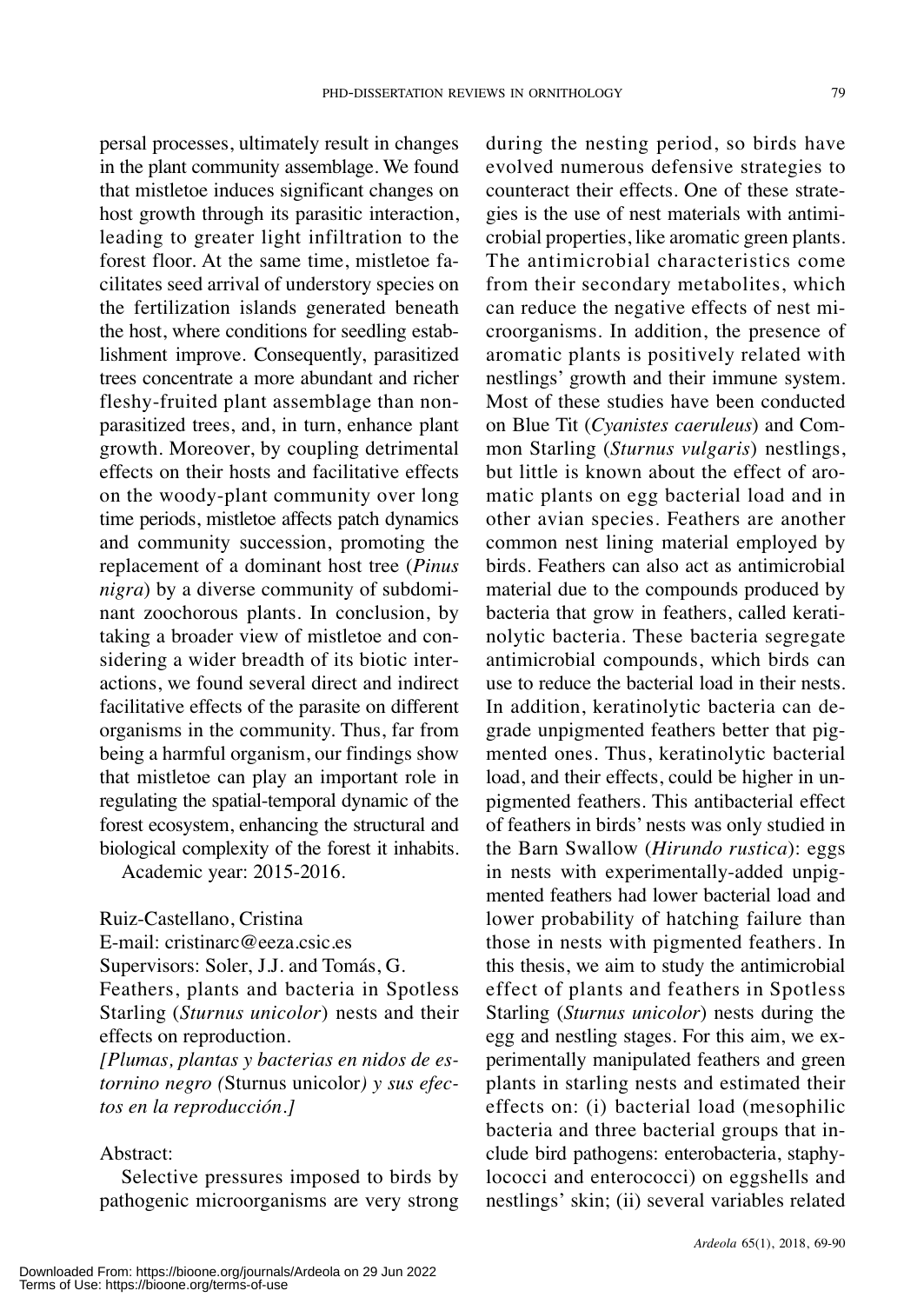persal processes, ultimately result in changes in the plant community assemblage. We found that mistletoe induces significant changes on host growth through its parasitic interaction, leading to greater light infiltration to the forest floor. At the same time, mistletoe facilitates seed arrival of understory species on the fertilization islands generated beneath the host, where conditions for seedling establishment improve. Consequently, parasitized trees concentrate a more abundant and richer fleshy-fruited plant assemblage than nonparasitized trees, and, in turn, enhance plant growth. Moreover, by coupling detrimental effects on their hosts and facilitative effects on the woody-plant community over long time periods, mistletoe affects patch dynamics and community succession, promoting the replacement of a dominant host tree (*Pinus nigra*) by a diverse community of subdominant zoochorous plants. In conclusion, by taking a broader view of mistletoe and considering a wider breadth of its biotic interactions, we found several direct and indirect facilitative effects of the parasite on different organisms in the community. Thus, far from being a harmful organism, our findings show that mistletoe can play an important role in regulating the spatial-temporal dynamic of the forest ecosystem, enhancing the structural and biological complexity of the forest it inhabits. Academic year: 2015-2016.

Ruiz-Castellano, Cristina

E-mail: cristinarc@eeza.csic.es

Supervisors: Soler, J.J. and Tomás, G.

Feathers, plants and bacteria in Spotless Starling (*Sturnus unicolor*) nests and their effects on reproduction.

*[Plumas, plantas y bacterias en nidos de estornino negro (*Sturnus unicolor*) y sus efectos en la reproducción.]*

during the nesting period, so birds have evolved numerous defensive strategies to counteract their effects. One of these strategies is the use of nest materials with antimicrobial properties, like aromatic green plants. The antimicrobial characteristics come from their secondary metabolites, which can reduce the negative effects of nest microorganisms. In addition, the presence of aromatic plants is positively related with nestlings' growth and their immune system. Most of these studies have been conducted on Blue Tit (*Cyanistes caeruleus*) and Common Starling (*Sturnus vulgaris*) nestlings, but little is known about the effect of aromatic plants on egg bacterial load and in other avian species. Feathers are another common nest lining material employed by birds. Feathers can also act as antimicrobial material due to the compounds produced by bacteria that grow in feathers, called keratinolytic bacteria. These bacteria segregate antimicrobial compounds, which birds can use to reduce the bacterial load in their nests. In addition, keratinolytic bacteria can degrade unpigmented feathers better that pigmented ones. Thus, keratinolytic bacterial load, and their effects, could be higher in unpigmented feathers. This antibacterial effect of feathers in birds' nests was only studied in the Barn Swallow (*Hirundo rustica*): eggs in nests with experimentally-added unpigmented feathers had lower bacterial load and lower probability of hatching failure than those in nests with pigmented feathers. In this thesis, we aim to study the antimicrobial effect of plants and feathers in Spotless Starling (*Sturnus unicolor*) nests during the egg and nestling stages. For this aim, we experimentally manipulated feathers and green plants in starling nests and estimated their effects on: (i) bacterial load (mesophilic bacteria and three bacterial groups that include bird pathogens: enterobacteria, staphylococci and enterococci) on eggshells and nestlings' skin; (ii) several variables related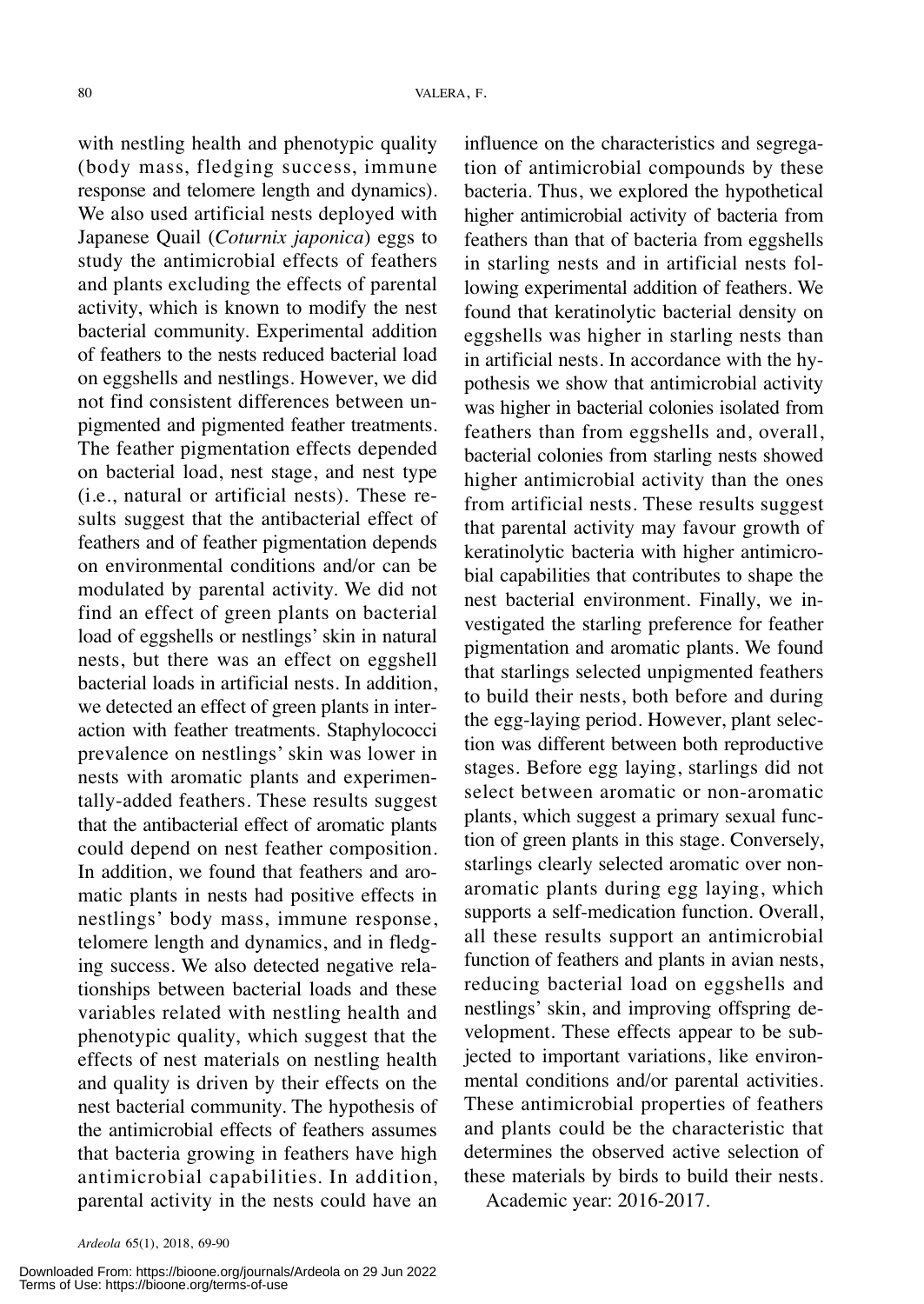with nestling health and phenotypic quality (body mass, fledging success, immune response and telomere length and dynamics). We also used artificial nests deployed with Japanese Quail (*Coturnix japonica*) eggs to study the antimicrobial effects of feathers and plants excluding the effects of parental activity, which is known to modify the nest bacterial community. Experimental addition of feathers to the nests reduced bacterial load on eggshells and nestlings. However, we did not find consistent differences between unpigmented and pigmented feather treatments. The feather pigmentation effects depended on bacterial load, nest stage, and nest type (i.e., natural or artificial nests). These results suggest that the antibacterial effect of feathers and of feather pigmentation depends on environmental conditions and/or can be modulated by parental activity. We did not find an effect of green plants on bacterial load of eggshells or nestlings' skin in natural nests, but there was an effect on eggshell bacterial loads in artificial nests. In addition, we detected an effect of green plants in interaction with feather treatments. Staphylococci prevalence on nestlings' skin was lower in nests with aromatic plants and experimentally-added feathers. These results suggest that the antibacterial effect of aromatic plants could depend on nest feather composition. In addition, we found that feathers and aromatic plants in nests had positive effects in nestlings' body mass, immune response, telomere length and dynamics, and in fledging success. We also detected negative relationships between bacterial loads and these variables related with nestling health and phenotypic quality, which suggest that the effects of nest materials on nestling health and quality is driven by their effects on the nest bacterial community. The hypothesis of the antimicrobial effects of feathers assumes that bacteria growing in feathers have high antimicrobial capabilities. In addition, parental activity in the nests could have an

influence on the characteristics and segregation of antimicrobial compounds by these bacteria. Thus, we explored the hypothetical higher antimicrobial activity of bacteria from feathers than that of bacteria from eggshells in starling nests and in artificial nests following experimental addition of feathers. We found that keratinolytic bacterial density on eggshells was higher in starling nests than in artificial nests. In accordance with the hypothesis we show that antimicrobial activity was higher in bacterial colonies isolated from feathers than from eggshells and, overall, bacterial colonies from starling nests showed higher antimicrobial activity than the ones from artificial nests. These results suggest that parental activity may favour growth of keratinolytic bacteria with higher antimicrobial capabilities that contributes to shape the nest bacterial environment. Finally, we investigated the starling preference for feather pigmentation and aromatic plants. We found that starlings selected unpigmented feathers to build their nests, both before and during the egg-laying period. However, plant selection was different between both reproductive stages. Before egg laying, starlings did not select between aromatic or non-aromatic plants, which suggest a primary sexual function of green plants in this stage. Conversely, starlings clearly selected aromatic over nonaromatic plants during egg laying, which supports a self-medication function. Overall, all these results support an antimicrobial function of feathers and plants in avian nests, reducing bacterial load on eggshells and nestlings' skin, and improving offspring development. These effects appear to be subjected to important variations, like environmental conditions and/or parental activities. These antimicrobial properties of feathers and plants could be the characteristic that determines the observed active selection of these materials by birds to build their nests.

Academic year: 2016-2017.

*Ardeola* 65(1), 2018, 69-90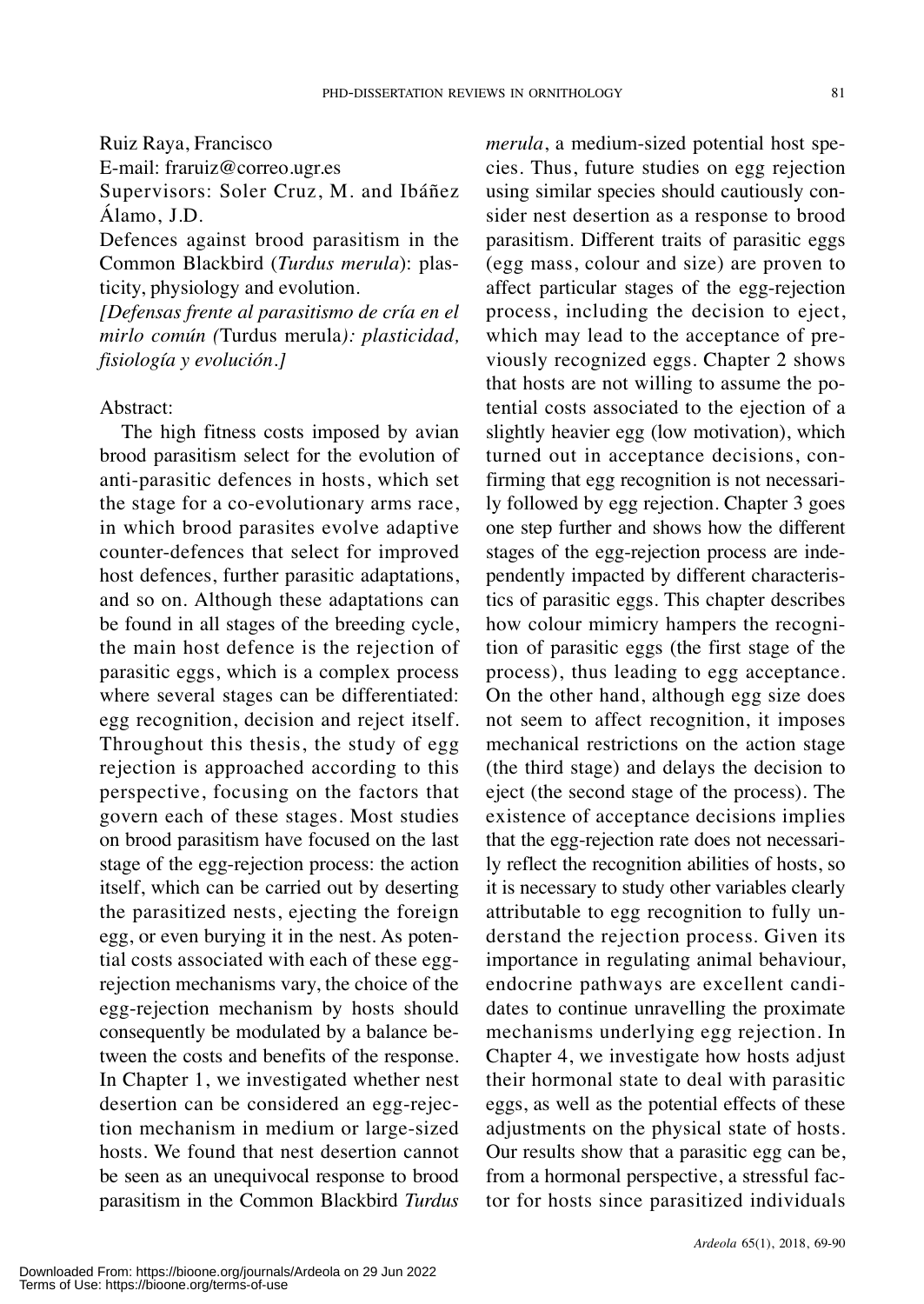# PHD-DISSERTATION REVIEWS IN ORNITHOLOGY 81

### Ruiz Raya, Francisco

E-mail: fraruiz@correo.ugr.es

Supervisors: Soler Cruz, M. and Ibáñez Álamo, J.D.

Defences against brood parasitism in the Common Blackbird (*Turdus merula*): plasticity, physiology and evolution.

*[Defensas frente al parasitismo de cría en el mirlo común (*Turdus merula*): plasticidad, fisiología y evolución.]*

## Abstract:

The high fitness costs imposed by avian brood parasitism select for the evolution of anti-parasitic defences in hosts, which set the stage for a co-evolutionary arms race, in which brood parasites evolve adaptive counter-defences that select for improved host defences, further parasitic adaptations, and so on. Although these adaptations can be found in all stages of the breeding cycle, the main host defence is the rejection of parasitic eggs, which is a complex process where several stages can be differentiated: egg recognition, decision and reject itself. Throughout this thesis, the study of egg rejection is approached according to this perspective, focusing on the factors that govern each of these stages. Most studies on brood parasitism have focused on the last stage of the egg-rejection process: the action itself, which can be carried out by deserting the parasitized nests, ejecting the foreign egg, or even burying it in the nest. As potential costs associated with each of these eggrejection mechanisms vary, the choice of the egg-rejection mechanism by hosts should consequently be modulated by a balance between the costs and benefits of the response. In Chapter 1, we investigated whether nest desertion can be considered an egg-rejection mechanism in medium or large-sized

*merula*, a medium-sized potential host species. Thus, future studies on egg rejection using similar species should cautiously consider nest desertion as a response to brood parasitism. Different traits of parasitic eggs (egg mass, colour and size) are proven to affect particular stages of the egg-rejection process, including the decision to eject, which may lead to the acceptance of previously recognized eggs. Chapter 2 shows that hosts are not willing to assume the potential costs associated to the ejection of a slightly heavier egg (low motivation), which turned out in acceptance decisions, confirming that egg recognition is not necessarily followed by egg rejection. Chapter 3 goes one step further and shows how the different stages of the egg-rejection process are independently impacted by different characteristics of parasitic eggs. This chapter describes how colour mimicry hampers the recognition of parasitic eggs (the first stage of the process), thus leading to egg acceptance. On the other hand, although egg size does not seem to affect recognition, it imposes mechanical restrictions on the action stage (the third stage) and delays the decision to eject (the second stage of the process). The existence of acceptance decisions implies that the egg-rejection rate does not necessarily reflect the recognition abilities of hosts, so it is necessary to study other variables clearly attributable to egg recognition to fully understand the rejection process. Given its importance in regulating animal behaviour, endocrine pathways are excellent candidates to continue unravelling the proximate mechanisms underlying egg rejection. In Chapter 4, we investigate how hosts adjust their hormonal state to deal with parasitic eggs, as well as the potential effects of these adjustments on the physical state of hosts. Our results show that a parasitic egg can be, from a hormonal perspective, a stressful factor for hosts since parasitized individuals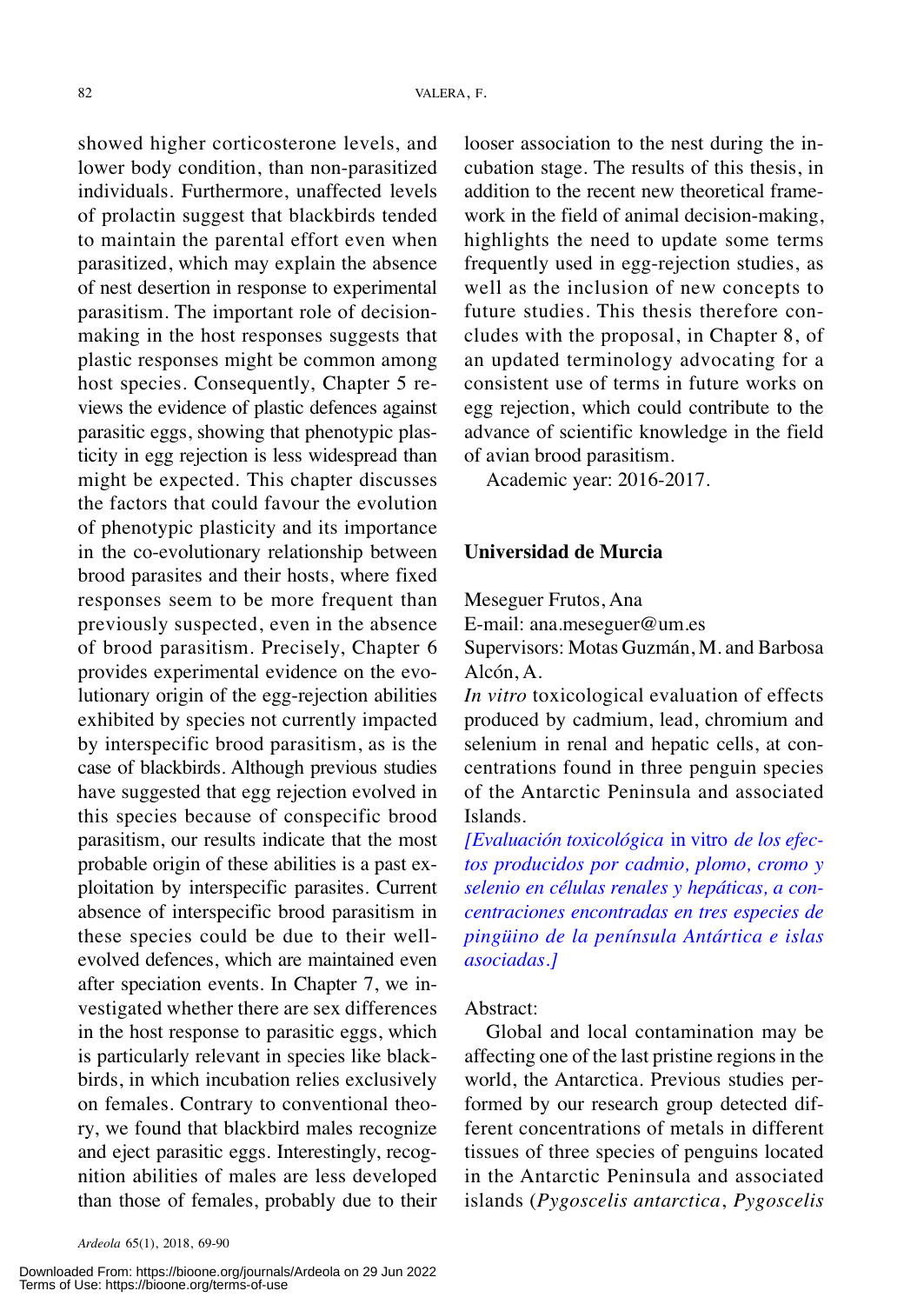showed higher corticosterone levels, and lower body condition, than non-parasitized individuals. Furthermore, unaffected levels of prolactin suggest that blackbirds tended to maintain the parental effort even when parasitized, which may explain the absence of nest desertion in response to experimental parasitism. The important role of decisionmaking in the host responses suggests that plastic responses might be common among host species. Consequently, Chapter 5 reviews the evidence of plastic defences against parasitic eggs, showing that phenotypic plasticity in egg rejection is less widespread than might be expected. This chapter discusses the factors that could favour the evolution of phenotypic plasticity and its importance in the co-evolutionary relationship between brood parasites and their hosts, where fixed responses seem to be more frequent than previously suspected, even in the absence of brood parasitism. Precisely, Chapter 6 provides experimental evidence on the evolutionary origin of the egg-rejection abilities exhibited by species not currently impacted by interspecific brood parasitism, as is the case of blackbirds. Although previous studies have suggested that egg rejection evolved in this species because of conspecific brood parasitism, our results indicate that the most probable origin of these abilities is a past exploitation by interspecific parasites. Current absence of interspecific brood parasitism in these species could be due to their wellevolved defences, which are maintained even after speciation events. In Chapter 7, we investigated whether there are sex differences in the host response to parasitic eggs, which is particularly relevant in species like blackbirds, in which incubation relies exclusively on females. Contrary to conventional theory, we found that blackbird males recognize and eject parasitic eggs. Interestingly, recognition abilities of males are less developed than those of females, probably due to their

*Ardeola* 65(1), 2018, 69-90

Downloaded From: https://bioone.org/journals/Ardeola on 29 Jun 2022 Terms of Use: https://bioone.org/terms-of-use

looser association to the nest during the incubation stage. The results of this thesis, in addition to the recent new theoretical framework in the field of animal decision-making, highlights the need to update some terms frequently used in egg-rejection studies, as well as the inclusion of new concepts to future studies. This thesis therefore concludes with the proposal, in Chapter 8, of an updated terminology advocating for a consistent use of terms in future works on egg rejection, which could contribute to the advance of scientific knowledge in the field of avian brood parasitism.

Academic year: 2016-2017.

#### **Universidad de Murcia**

Meseguer Frutos, Ana

E-mail: ana.meseguer@um.es

Supervisors: Motas Guzmán, M. and Barbosa Alcón, A.

*In vitro* toxicological evaluation of effects produced by cadmium, lead, chromium and selenium in renal and hepatic cells, at concentrations found in three penguin species of the Antarctic Peninsula and associated Islands.

*[\[Evaluación](https://digitum.um.es/xmlui/handle/10201/51519) toxicológica* in vitro *de los efectos [producidos](https://digitum.um.es/xmlui/handle/10201/51519) por cadmio, plomo, cromo y selenio en células renales y [hepáticas,](https://digitum.um.es/xmlui/handle/10201/51519) a con[centraciones](https://digitum.um.es/xmlui/handle/10201/51519) encontradas en tres especies de pingüino de la [península](https://digitum.um.es/xmlui/handle/10201/51519) Antártica e islas [asociadas.\]](https://digitum.um.es/xmlui/handle/10201/51519)*

#### Abstract:

Global and local contamination may be affecting one of the last pristine regions in the world, the Antarctica. Previous studies performed by our research group detected different concentrations of metals in different tissues of three species of penguins located in the Antarctic Peninsula and associated islands (*Pygoscelis antarctica*, *Pygoscelis*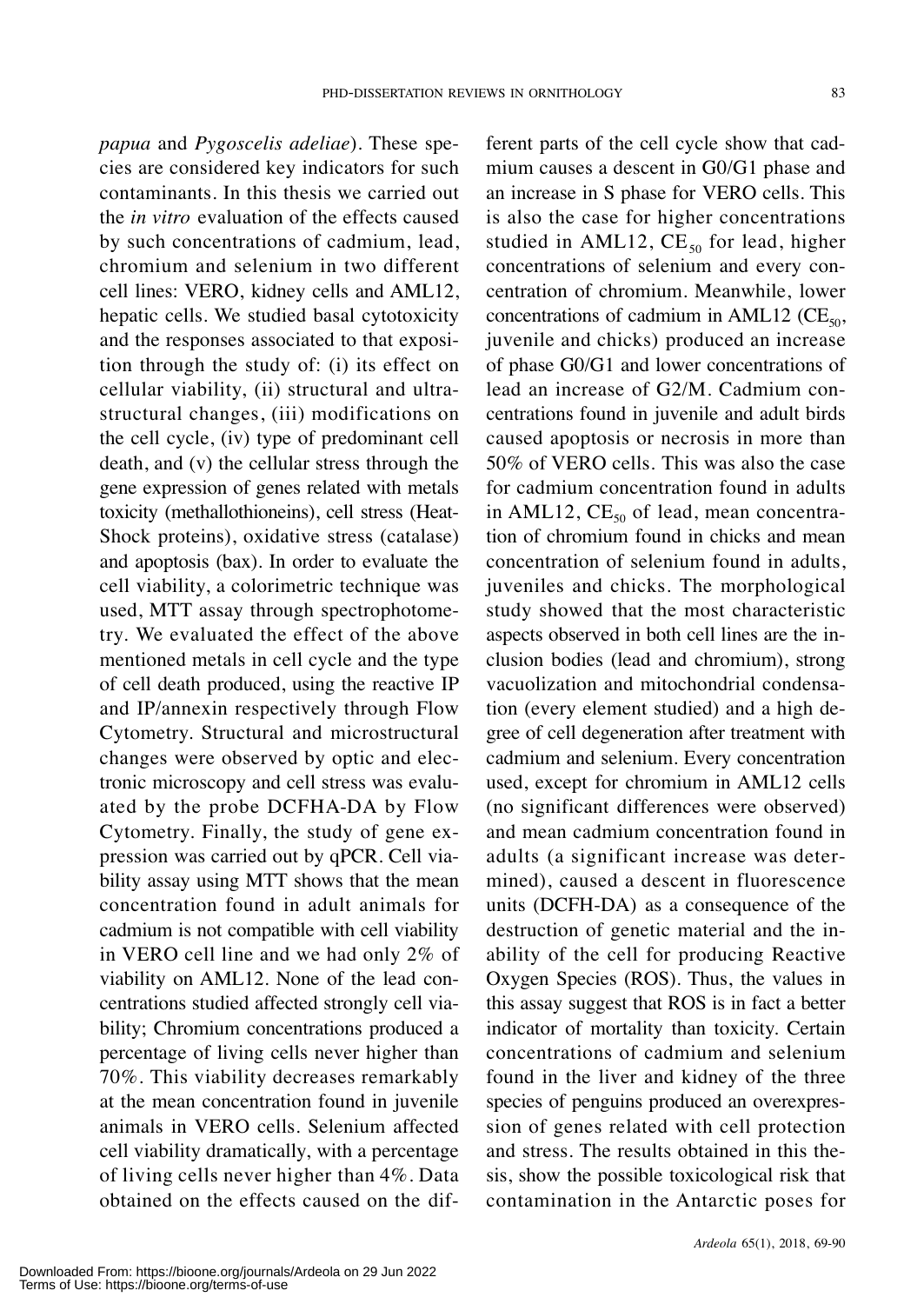*papua* and *Pygoscelis adeliae*). These species are considered key indicators for such contaminants. In this thesis we carried out the *in vitro* evaluation of the effects caused by such concentrations of cadmium, lead, chromium and selenium in two different cell lines: VERO, kidney cells and AML12, hepatic cells. We studied basal cytotoxicity and the responses associated to that exposition through the study of: (i) its effect on cellular viability, (ii) structural and ultrastructural changes, (iii) modifications on the cell cycle, (iv) type of predominant cell death, and (v) the cellular stress through the gene expression of genes related with metals toxicity (methallothioneins), cell stress (Heat-Shock proteins), oxidative stress (catalase) and apoptosis (bax). In order to evaluate the cell viability, a colorimetric technique was used, MTT assay through spectrophotometry. We evaluated the effect of the above mentioned metals in cell cycle and the type of cell death produced, using the reactive IP and IP/annexin respectively through Flow Cytometry. Structural and microstructural changes were observed by optic and electronic microscopy and cell stress was evaluated by the probe DCFHA-DA by Flow Cytometry. Finally, the study of gene expression was carried out by qPCR. Cell viability assay using MTT shows that the mean concentration found in adult animals for cadmium is not compatible with cell viability in VERO cell line and we had only 2% of viability on AML12. None of the lead concentrations studied affected strongly cell viability; Chromium concentrations produced a percentage of living cells never higher than 70%. This viability decreases remarkably at the mean concentration found in juvenile animals in VERO cells. Selenium affected cell viability dramatically, with a percentage

ferent parts of the cell cycle show that cadmium causes a descent in G0/G1 phase and an increase in S phase for VERO cells. This is also the case for higher concentrations studied in AML12,  $CE_{50}$  for lead, higher concentrations of selenium and every concentration of chromium. Meanwhile, lower concentrations of cadmium in AML12 ( $CE<sub>50</sub>$ , juvenile and chicks) produced an increase of phase G0/G1 and lower concentrations of lead an increase of G2/M. Cadmium concentrations found in juvenile and adult birds caused apoptosis or necrosis in more than 50% of VERO cells. This was also the case for cadmium concentration found in adults in AML12,  $CE_{50}$  of lead, mean concentration of chromium found in chicks and mean concentration of selenium found in adults, juveniles and chicks. The morphological study showed that the most characteristic aspects observed in both cell lines are the inclusion bodies (lead and chromium), strong vacuolization and mitochondrial condensation (every element studied) and a high degree of cell degeneration after treatment with cadmium and selenium. Every concentration used, except for chromium in AML12 cells (no significant differences were observed) and mean cadmium concentration found in adults (a significant increase was determined), caused a descent in fluorescence units (DCFH-DA) as a consequence of the destruction of genetic material and the inability of the cell for producing Reactive Oxygen Species (ROS). Thus, the values in this assay suggest that ROS is in fact a better indicator of mortality than toxicity. Certain concentrations of cadmium and selenium found in the liver and kidney of the three species of penguins produced an overexpression of genes related with cell protection and stress. The results obtained in this thesis, show the possible toxicological risk that contamination in the Antarctic poses for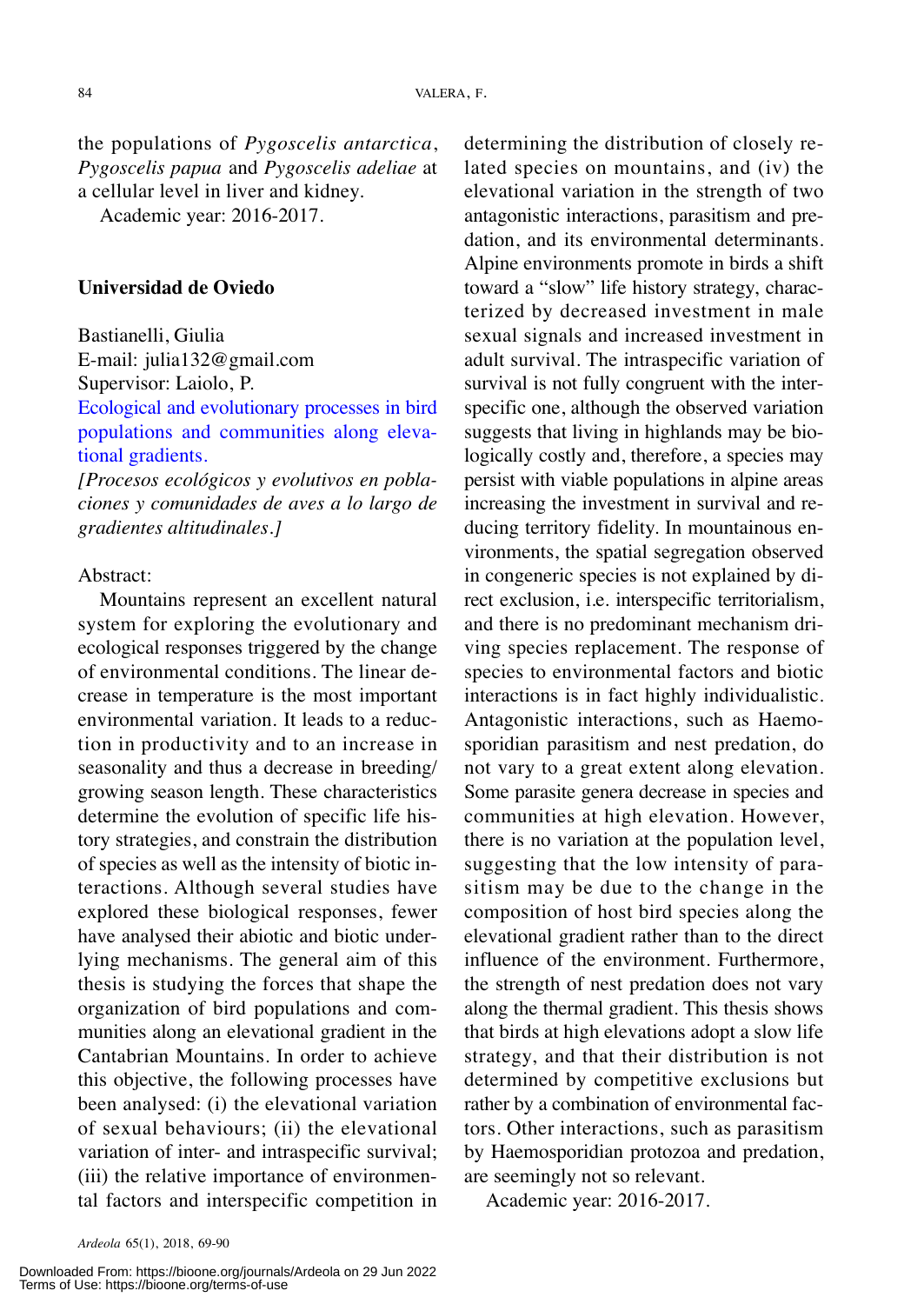the populations of *Pygoscelis antarctica*, *Pygoscelis papua* and *Pygoscelis adeliae* at a cellular level in liver and kidney.

Academic year: 2016-2017.

#### **Universidad de Oviedo**

Bastianelli, Giulia

E-mail: julia132@gmail.com

Supervisor: Laiolo, P.

Ecological and [evolutionary](https://www.dropbox.com/s/rauj1j18vsxn8a3/tesisGiuliaBastianelli.pdf?dl=0) processes in bird populations and [communities](https://www.dropbox.com/s/rauj1j18vsxn8a3/tesisGiuliaBastianelli.pdf?dl=0) along elevational [gradients.](https://www.dropbox.com/s/rauj1j18vsxn8a3/tesisGiuliaBastianelli.pdf?dl=0)

*[Procesos ecológicos y evolutivos en poblaciones y comunidades de aves a lo largo de gradientes altitudinales.]*

# Abstract:

Mountains represent an excellent natural system for exploring the evolutionary and ecological responses triggered by the change of environmental conditions. The linear decrease in temperature is the most important environmental variation. It leads to a reduction in productivity and to an increase in seasonality and thus a decrease in breeding/ growing season length. These characteristics determine the evolution of specific life history strategies, and constrain the distribution of species as well as the intensity of biotic interactions. Although several studies have explored these biological responses, fewer have analysed their abiotic and biotic underlying mechanisms. The general aim of this thesis is studying the forces that shape the organization of bird populations and communities along an elevational gradient in the Cantabrian Mountains. In order to achieve this objective, the following processes have been analysed: (i) the elevational variation of sexual behaviours; (ii) the elevational variation of inter- and intraspecific survival; (iii) the relative importance of environmental factors and interspecific competition in

determining the distribution of closely related species on mountains, and (iv) the elevational variation in the strength of two antagonistic interactions, parasitism and predation, and its environmental determinants. Alpine environments promote in birds a shift toward a "slow" life history strategy, characterized by decreased investment in male sexual signals and increased investment in adult survival. The intraspecific variation of survival is not fully congruent with the interspecific one, although the observed variation suggests that living in highlands may be biologically costly and, therefore, a species may persist with viable populations in alpine areas increasing the investment in survival and reducing territory fidelity. In mountainous environments, the spatial segregation observed in congeneric species is not explained by direct exclusion, i.e. interspecific territorialism, and there is no predominant mechanism driving species replacement. The response of species to environmental factors and biotic interactions is in fact highly individualistic. Antagonistic interactions, such as Haemosporidian parasitism and nest predation, do not vary to a great extent along elevation. Some parasite genera decrease in species and communities at high elevation. However, there is no variation at the population level, suggesting that the low intensity of parasitism may be due to the change in the composition of host bird species along the elevational gradient rather than to the direct influence of the environment. Furthermore, the strength of nest predation does not vary along the thermal gradient. This thesis shows that birds at high elevations adopt a slow life strategy, and that their distribution is not determined by competitive exclusions but rather by a combination of environmental factors. Other interactions, such as parasitism by Haemosporidian protozoa and predation, are seemingly not so relevant.

Academic year: 2016-2017.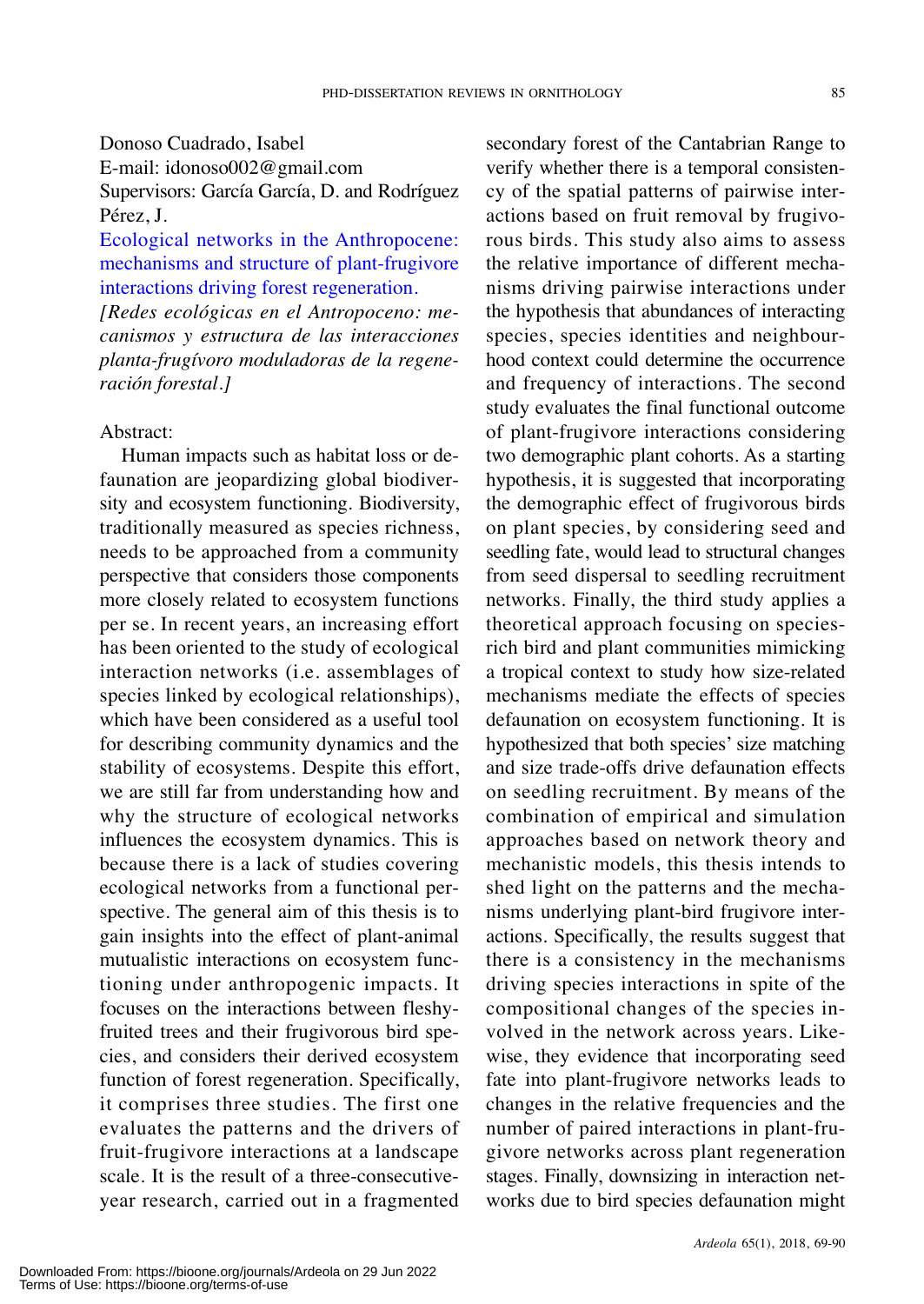## Donoso Cuadrado, Isabel

E-mail: idonoso002@gmail.com

Supervisors: García García, D. and Rodríguez Pérez, J.

Ecological networks in the [Anthropocene:](https://www.dropbox.com/s/6j9ny4m6rjiz4yj/Donoso_2017_PhD_thesis.pdf?dl=0) mechanisms and structure of [plant-frugivore](https://www.dropbox.com/s/6j9ny4m6rjiz4yj/Donoso_2017_PhD_thesis.pdf?dl=0) interactions driving forest [regeneration.](https://www.dropbox.com/s/6j9ny4m6rjiz4yj/Donoso_2017_PhD_thesis.pdf?dl=0)

*[Redes ecológicas en el Antropoceno: mecanismos y estructura de las interacciones planta-frugívoro moduladoras de la regeneración forestal.]*

## Abstract:

Human impacts such as habitat loss or defaunation are jeopardizing global biodiversity and ecosystem functioning. Biodiversity, traditionally measured as species richness, needs to be approached from a community perspective that considers those components more closely related to ecosystem functions per se. In recent years, an increasing effort has been oriented to the study of ecological interaction networks (i.e. assemblages of species linked by ecological relationships), which have been considered as a useful tool for describing community dynamics and the stability of ecosystems. Despite this effort, we are still far from understanding how and why the structure of ecological networks influences the ecosystem dynamics. This is because there is a lack of studies covering ecological networks from a functional perspective. The general aim of this thesis is to gain insights into the effect of plant-animal mutualistic interactions on ecosystem functioning under anthropogenic impacts. It focuses on the interactions between fleshyfruited trees and their frugivorous bird species, and considers their derived ecosystem function of forest regeneration. Specifically, it comprises three studies. The first one evaluates the patterns and the drivers of fruit-frugivore interactions at a landscape scale. It is the result of a three-consecutiveyear research, carried out in a fragmented

secondary forest of the Cantabrian Range to verify whether there is a temporal consistency of the spatial patterns of pairwise interactions based on fruit removal by frugivorous birds. This study also aims to assess the relative importance of different mechanisms driving pairwise interactions under the hypothesis that abundances of interacting species, species identities and neighbourhood context could determine the occurrence and frequency of interactions. The second study evaluates the final functional outcome of plant-frugivore interactions considering two demographic plant cohorts. As a starting hypothesis, it is suggested that incorporating the demographic effect of frugivorous birds on plant species, by considering seed and seedling fate, would lead to structural changes from seed dispersal to seedling recruitment networks. Finally, the third study applies a theoretical approach focusing on speciesrich bird and plant communities mimicking a tropical context to study how size-related mechanisms mediate the effects of species defaunation on ecosystem functioning. It is hypothesized that both species' size matching and size trade-offs drive defaunation effects on seedling recruitment. By means of the combination of empirical and simulation approaches based on network theory and mechanistic models, this thesis intends to shed light on the patterns and the mechanisms underlying plant-bird frugivore interactions. Specifically, the results suggest that there is a consistency in the mechanisms driving species interactions in spite of the compositional changes of the species involved in the network across years. Likewise, they evidence that incorporating seed fate into plant-frugivore networks leads to changes in the relative frequencies and the number of paired interactions in plant-frugivore networks across plant regeneration stages. Finally, downsizing in interaction networks due to bird species defaunation might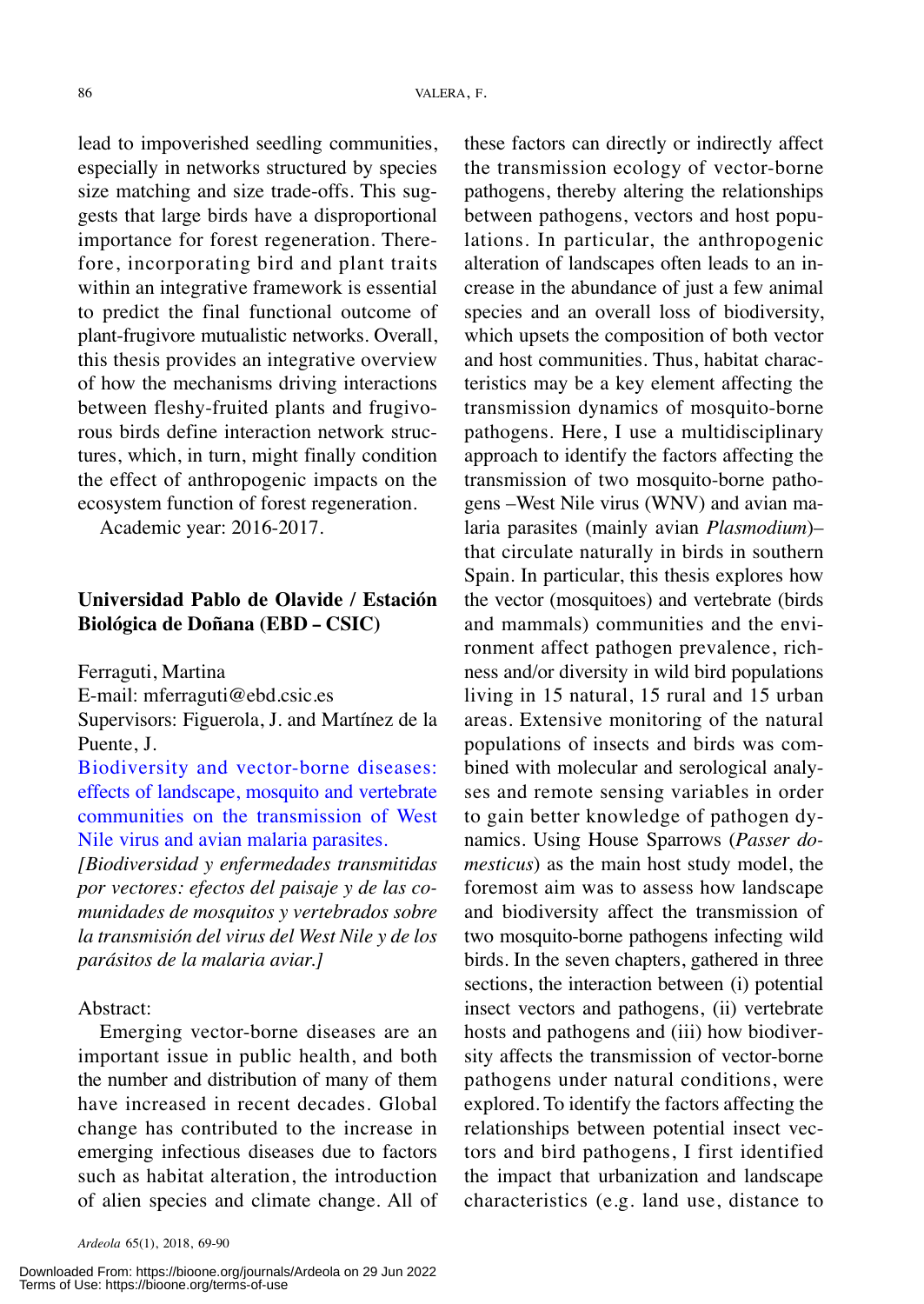lead to impoverished seedling communities, especially in networks structured by species size matching and size trade-offs. This suggests that large birds have a disproportional importance for forest regeneration. Therefore, incorporating bird and plant traits within an integrative framework is essential to predict the final functional outcome of plant-frugivore mutualistic networks. Overall, this thesis provides an integrative overview of how the mechanisms driving interactions between fleshy-fruited plants and frugivorous birds define interaction network structures, which, in turn, might finally condition the effect of anthropogenic impacts on the ecosystem function of forest regeneration.

Academic year: 2016-2017.

# **Universidad Pablo de Olavide / Estación Biológica de Doñana (EBD – CSIC)**

Ferraguti, Martina

E-mail: mferraguti@ebd.csic.es Supervisors: Figuerola, J. and Martínez de la Puente, J.

Biodiversity and [vector-borne](https://rio.upo.es/xmlui/handle/10433/4785) diseases: effects of [landscape,](https://rio.upo.es/xmlui/handle/10433/4785) mosquito and vertebrate [communities](https://rio.upo.es/xmlui/handle/10433/4785) on the transmission of West Nile virus and avian malaria [parasites.](https://rio.upo.es/xmlui/handle/10433/4785)

*[Biodiversidad y enfermedades transmitidas por vectores: efectos del paisaje y de las comunidades de mosquitos y vertebrados sobre la transmisión del virus del West Nile y de los parásitos de la malaria aviar.]*

#### Abstract:

Emerging vector-borne diseases are an important issue in public health, and both the number and distribution of many of them have increased in recent decades. Global change has contributed to the increase in emerging infectious diseases due to factors such as habitat alteration, the introduction of alien species and climate change. All of pathogens, thereby altering the relationships between pathogens, vectors and host populations. In particular, the anthropogenic alteration of landscapes often leads to an increase in the abundance of just a few animal species and an overall loss of biodiversity, which upsets the composition of both vector and host communities. Thus, habitat characteristics may be a key element affecting the transmission dynamics of mosquito-borne pathogens. Here, I use a multidisciplinary approach to identify the factors affecting the transmission of two mosquito-borne pathogens –West Nile virus (WNV) and avian malaria parasites (mainly avian *Plasmodium*)– that circulate naturally in birds in southern Spain. In particular, this thesis explores how the vector (mosquitoes) and vertebrate (birds and mammals) communities and the environment affect pathogen prevalence, richness and/or diversity in wild bird populations living in 15 natural, 15 rural and 15 urban areas. Extensive monitoring of the natural populations of insects and birds was combined with molecular and serological analyses and remote sensing variables in order to gain better knowledge of pathogen dynamics. Using House Sparrows (*Passer domesticus*) as the main host study model, the foremost aim was to assess how landscape and biodiversity affect the transmission of two mosquito-borne pathogens infecting wild birds. In the seven chapters, gathered in three sections, the interaction between (i) potential insect vectors and pathogens, (ii) vertebrate hosts and pathogens and (iii) how biodiversity affects the transmission of vector-borne pathogens under natural conditions, were explored. To identify the factors affecting the relationships between potential insect vectors and bird pathogens, I first identified the impact that urbanization and landscape characteristics (e.g. land use, distance to

these factors can directly or indirectly affect the transmission ecology of vector-borne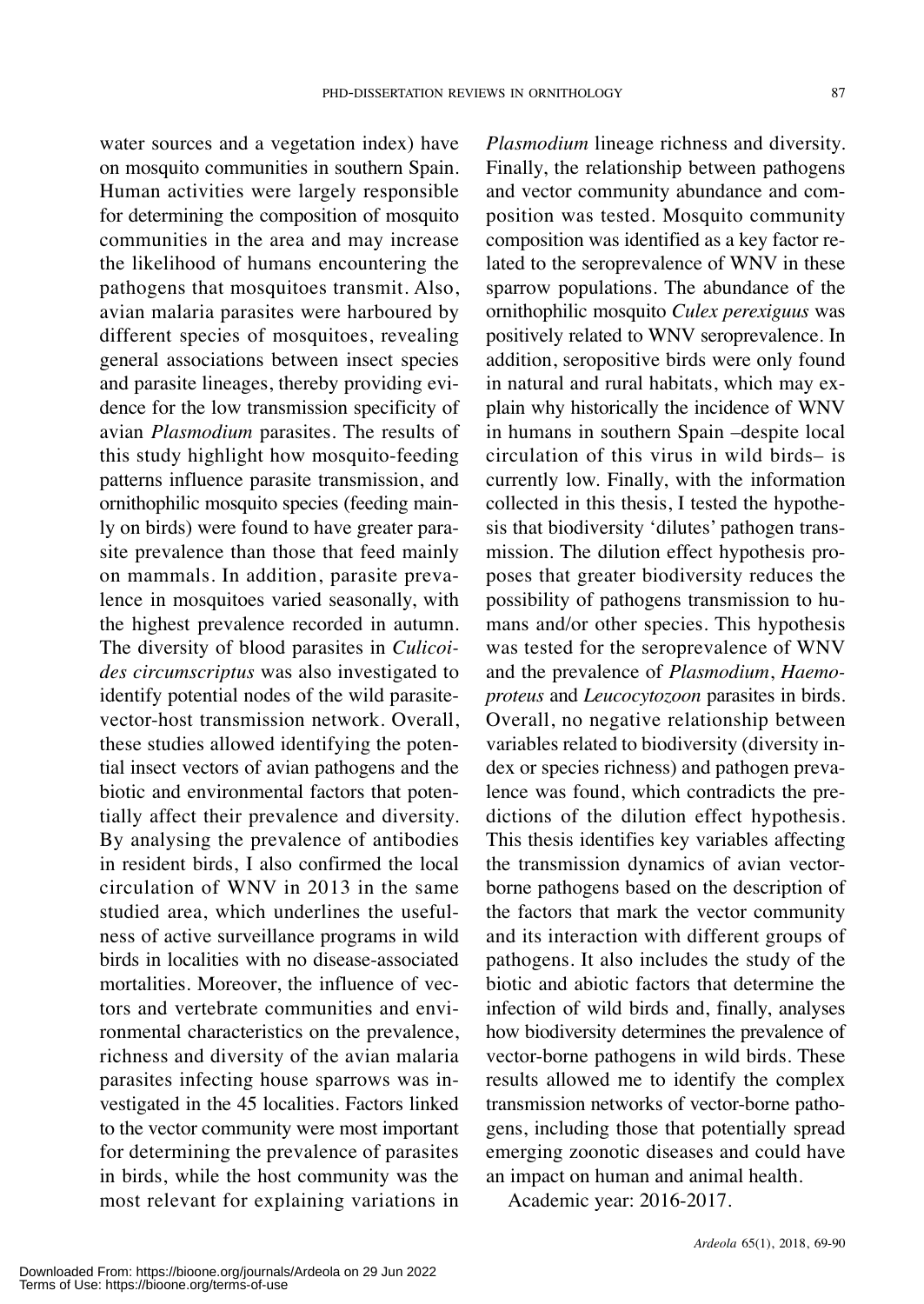water sources and a vegetation index) have on mosquito communities in southern Spain. Human activities were largely responsible for determining the composition of mosquito communities in the area and may increase the likelihood of humans encountering the pathogens that mosquitoes transmit. Also, avian malaria parasites were harboured by different species of mosquitoes, revealing general associations between insect species and parasite lineages, thereby providing evidence for the low transmission specificity of avian *Plasmodium* parasites. The results of this study highlight how mosquito-feeding patterns influence parasite transmission, and ornithophilic mosquito species (feeding mainly on birds) were found to have greater parasite prevalence than those that feed mainly on mammals. In addition, parasite prevalence in mosquitoes varied seasonally, with the highest prevalence recorded in autumn. The diversity of blood parasites in *Culicoides circumscriptus* was also investigated to identify potential nodes of the wild parasitevector-host transmission network. Overall, these studies allowed identifying the potential insect vectors of avian pathogens and the biotic and environmental factors that potentially affect their prevalence and diversity. By analysing the prevalence of antibodies in resident birds, I also confirmed the local circulation of WNV in 2013 in the same studied area, which underlines the usefulness of active surveillance programs in wild birds in localities with no disease-associated mortalities. Moreover, the influence of vectors and vertebrate communities and environmental characteristics on the prevalence, richness and diversity of the avian malaria parasites infecting house sparrows was investigated in the 45 localities. Factors linked

*Plasmodium* lineage richness and diversity. Finally, the relationship between pathogens and vector community abundance and composition was tested. Mosquito community composition was identified as a key factor related to the seroprevalence of WNV in these sparrow populations. The abundance of the ornithophilic mosquito *Culex perexiguus* was positively related to WNV seroprevalence. In addition, seropositive birds were only found in natural and rural habitats, which may explain why historically the incidence of WNV in humans in southern Spain –despite local circulation of this virus in wild birds– is currently low. Finally, with the information collected in this thesis, I tested the hypothesis that biodiversity 'dilutes' pathogen transmission. The dilution effect hypothesis proposes that greater biodiversity reduces the possibility of pathogens transmission to humans and/or other species. This hypothesis was tested for the seroprevalence of WNV and the prevalence of *Plasmodium*, *Haemoproteus* and *Leucocytozoon* parasites in birds. Overall, no negative relationship between variables related to biodiversity (diversity index or species richness) and pathogen prevalence was found, which contradicts the predictions of the dilution effect hypothesis. This thesis identifies key variables affecting the transmission dynamics of avian vectorborne pathogens based on the description of the factors that mark the vector community and its interaction with different groups of pathogens. It also includes the study of the biotic and abiotic factors that determine the infection of wild birds and, finally, analyses how biodiversity determines the prevalence of vector-borne pathogens in wild birds. These results allowed me to identify the complex transmission networks of vector-borne pathogens, including those that potentially spread emerging zoonotic diseases and could have an impact on human and animal health.

Academic year: 2016-2017.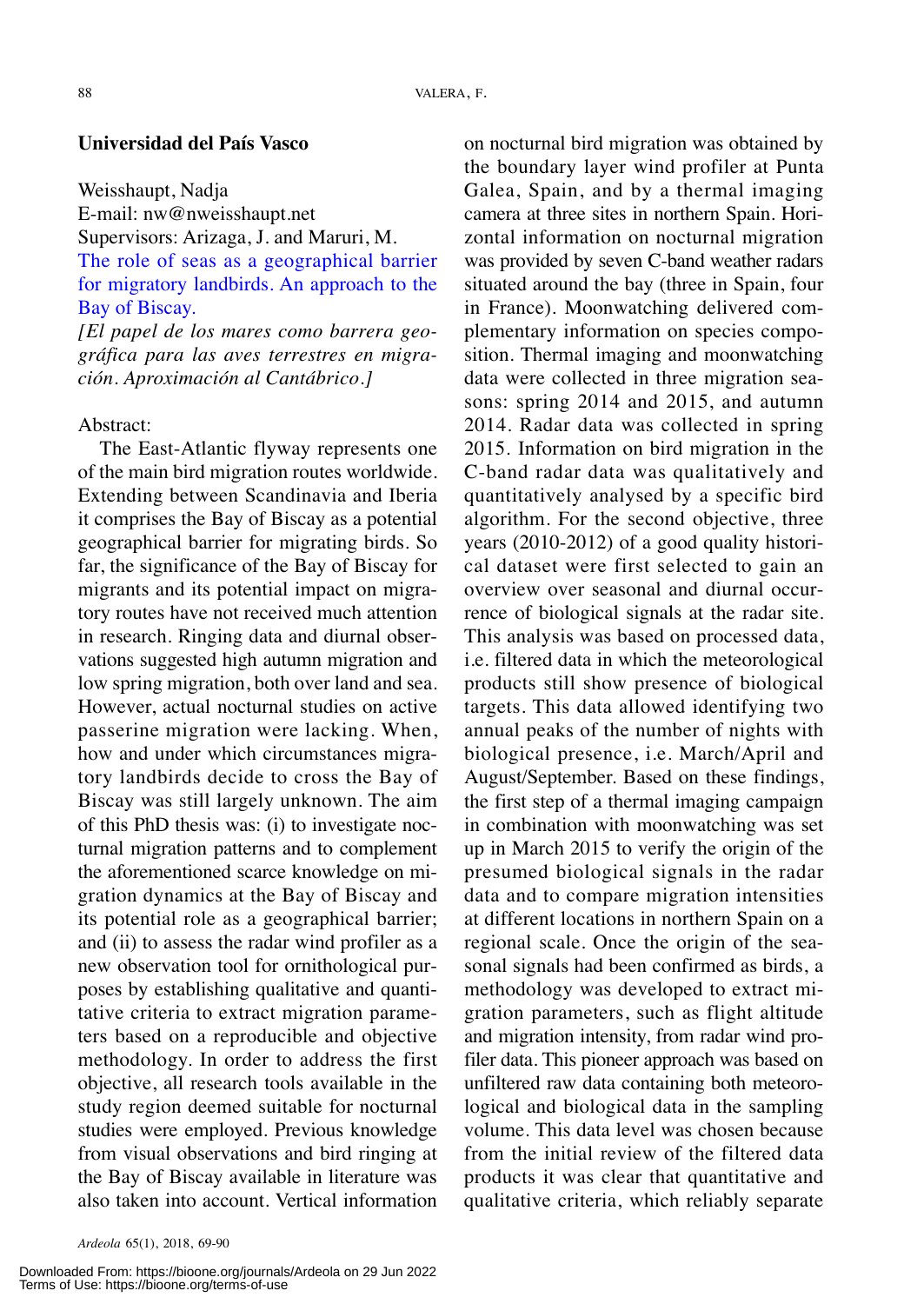#### **Universidad del País Vasco**

#### Weisshaupt, Nadja

E-mail: nw@nweisshaupt.net Supervisors: Arizaga, J. and Maruri, M. The role of seas as a [geographical](https://addi.ehu.es/handle/10810/20731) barrier for migratory [landbirds.](https://addi.ehu.es/handle/10810/20731) An approach to the Bay of [Biscay.](https://addi.ehu.es/handle/10810/20731)

*[El papel de los mares como barrera geográfica para las aves terrestres en migración. Aproximación al Cantábrico.]*

#### Abstract:

The East-Atlantic flyway represents one of the main bird migration routes worldwide. Extending between Scandinavia and Iberia it comprises the Bay of Biscay as a potential geographical barrier for migrating birds. So far, the significance of the Bay of Biscay for migrants and its potential impact on migratory routes have not received much attention in research. Ringing data and diurnal observations suggested high autumn migration and low spring migration, both over land and sea. However, actual nocturnal studies on active passerine migration were lacking. When, how and under which circumstances migratory landbirds decide to cross the Bay of Biscay was still largely unknown. The aim of this PhD thesis was: (i) to investigate nocturnal migration patterns and to complement the aforementioned scarce knowledge on migration dynamics at the Bay of Biscay and its potential role as a geographical barrier; and (ii) to assess the radar wind profiler as a new observation tool for ornithological purposes by establishing qualitative and quantitative criteria to extract migration parameters based on a reproducible and objective methodology. In order to address the first objective, all research tools available in the study region deemed suitable for nocturnal studies were employed. Previous knowledge from visual observations and bird ringing at the Bay of Biscay available in literature was also taken into account. Vertical information

Galea, Spain, and by a thermal imaging camera at three sites in northern Spain. Horizontal information on nocturnal migration was provided by seven C-band weather radars situated around the bay (three in Spain, four in France). Moonwatching delivered complementary information on species composition. Thermal imaging and moonwatching data were collected in three migration seasons: spring 2014 and 2015, and autumn 2014. Radar data was collected in spring 2015. Information on bird migration in the C-band radar data was qualitatively and quantitatively analysed by a specific bird algorithm. For the second objective, three years (2010-2012) of a good quality historical dataset were first selected to gain an overview over seasonal and diurnal occurrence of biological signals at the radar site. This analysis was based on processed data, i.e. filtered data in which the meteorological products still show presence of biological targets. This data allowed identifying two annual peaks of the number of nights with biological presence, i.e. March/April and August/September. Based on these findings, the first step of a thermal imaging campaign in combination with moonwatching was set up in March 2015 to verify the origin of the presumed biological signals in the radar data and to compare migration intensities at different locations in northern Spain on a regional scale. Once the origin of the seasonal signals had been confirmed as birds, a methodology was developed to extract migration parameters, such as flight altitude and migration intensity, from radar wind profiler data. This pioneer approach was based on unfiltered raw data containing both meteorological and biological data in the sampling volume. This data level was chosen because from the initial review of the filtered data products it was clear that quantitative and qualitative criteria, which reliably separate

on nocturnal bird migration was obtained by the boundary layer wind profiler at Punta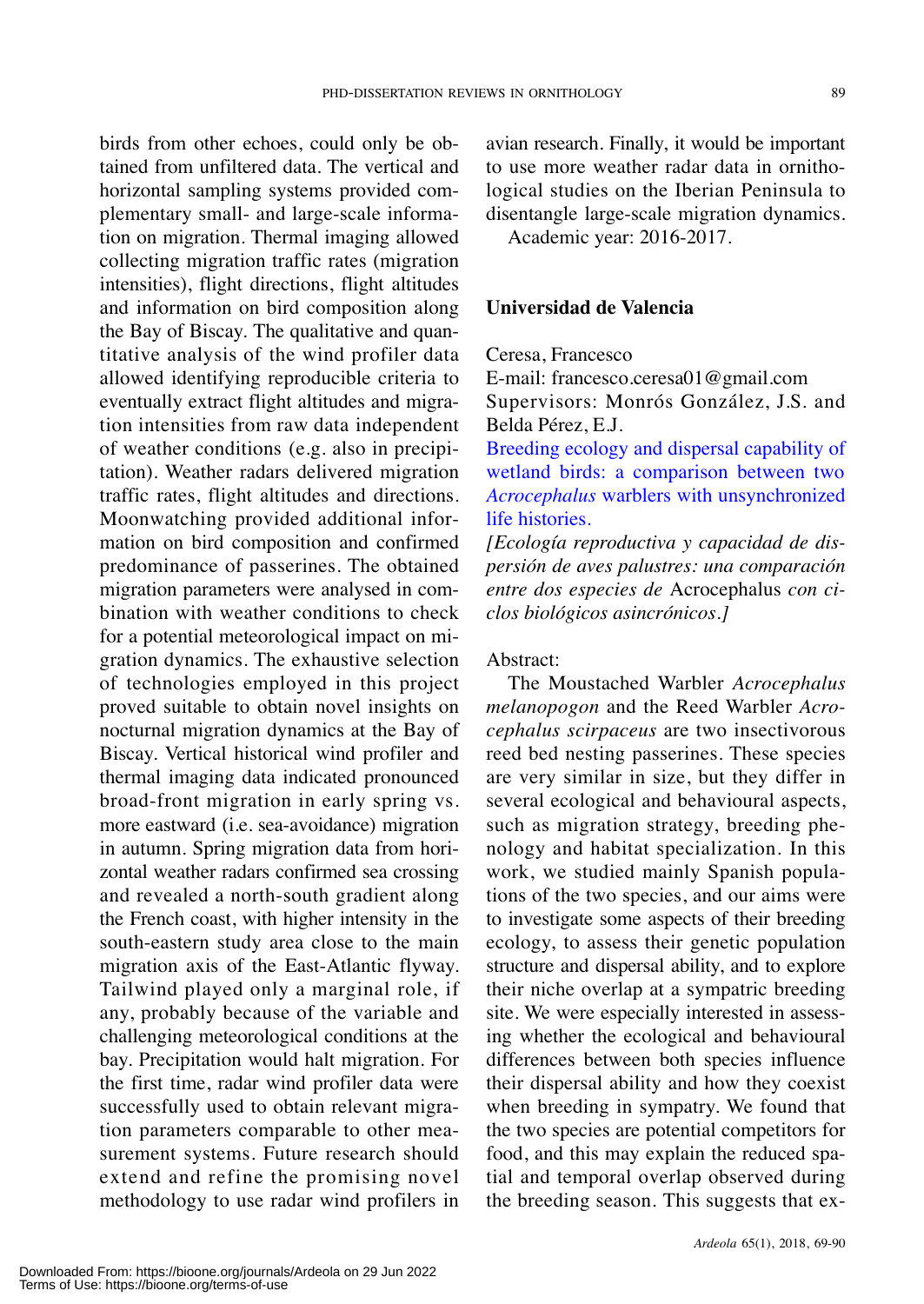birds from other echoes, could only be obtained from unfiltered data. The vertical and horizontal sampling systems provided complementary small- and large-scale information on migration. Thermal imaging allowed collecting migration traffic rates (migration intensities), flight directions, flight altitudes and information on bird composition along the Bay of Biscay. The qualitative and quantitative analysis of the wind profiler data allowed identifying reproducible criteria to eventually extract flight altitudes and migration intensities from raw data independent of weather conditions (e.g. also in precipitation). Weather radars delivered migration traffic rates, flight altitudes and directions. Moonwatching provided additional information on bird composition and confirmed predominance of passerines. The obtained migration parameters were analysed in combination with weather conditions to check for a potential meteorological impact on migration dynamics. The exhaustive selection of technologies employed in this project proved suitable to obtain novel insights on nocturnal migration dynamics at the Bay of Biscay. Vertical historical wind profiler and thermal imaging data indicated pronounced broad-front migration in early spring vs. more eastward (i.e. sea-avoidance) migration in autumn. Spring migration data from horizontal weather radars confirmed sea crossing and revealed a north-south gradient along the French coast, with higher intensity in the south-eastern study area close to the main migration axis of the East-Atlantic flyway. Tailwind played only a marginal role, if any, probably because of the variable and challenging meteorological conditions at the bay. Precipitation would halt migration. For the first time, radar wind profiler data were successfully used to obtain relevant migration parameters comparable to other measurement systems. Future research should extend and refine the promising novel methodology to use radar wind profilers in

avian research. Finally, it would be important to use more weather radar data in ornithological studies on the Iberian Peninsula to disentangle large-scale migration dynamics.

Academic year: 2016-2017.

## **Universidad de Valencia**

#### Ceresa, Francesco

E-mail: francesco.ceresa01@gmail.com Supervisors: Monrós González, J.S. and

Belda Pérez, E.J. Breeding ecology and dispersal [capability](http://roderic.uv.es/handle/10550/56376) of

wetland birds: a [comparison](http://roderic.uv.es/handle/10550/56376) between two *Acrocephalus* warblers with [unsynchronized](http://roderic.uv.es/handle/10550/56376) life [histories.](http://roderic.uv.es/handle/10550/56376)

*[Ecología reproductiva y capacidad de dispersión de aves palustres: una comparación entre dos especies de* Acrocephalus *con ciclos biológicos asincrónicos.]*

## Abstract:

The Moustached Warbler *Acrocephalus melanopogon* and the Reed Warbler *Acrocephalus scirpaceus* are two insectivorous reed bed nesting passerines. These species are very similar in size, but they differ in several ecological and behavioural aspects, such as migration strategy, breeding phenology and habitat specialization. In this work, we studied mainly Spanish populations of the two species, and our aims were to investigate some aspects of their breeding ecology, to assess their genetic population structure and dispersal ability, and to explore their niche overlap at a sympatric breeding site. We were especially interested in assessing whether the ecological and behavioural differences between both species influence their dispersal ability and how they coexist when breeding in sympatry. We found that the two species are potential competitors for food, and this may explain the reduced spatial and temporal overlap observed during the breeding season. This suggests that ex